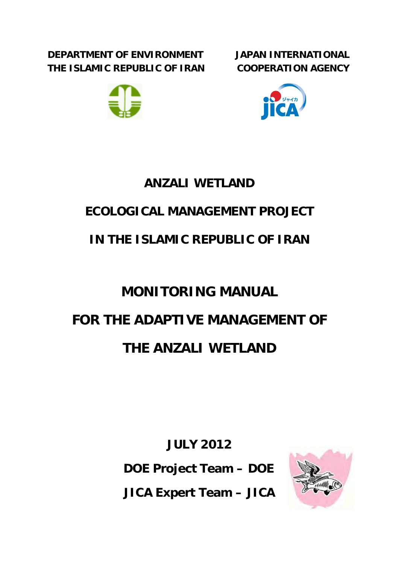**DEPARTMENT OF ENVIRONMENT THE ISLAMIC REPUBLIC OF IRAN** 







# **ANZALI WETLAND**

# **ECOLOGICAL MANAGEMENT PROJECT**

# **IN THE ISLAMIC REPUBLIC OF IRAN**

# **MONITORING MANUAL FOR THE ADAPTIVE MANAGEMENT OF THE ANZALI WETLAND**

**JULY 2012 DOE Project Team – DOE JICA Expert Team – JICA**

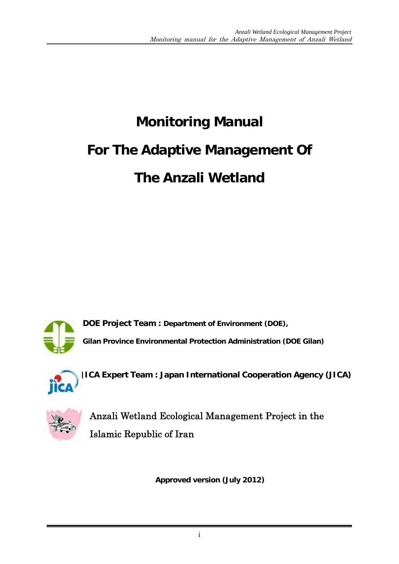# **Monitoring Manual For The Adaptive Management Of The Anzali Wetland**



**DOE Project Team : Department of Environment (DOE),**

**Gilan Province Environmental Protection Administration (DOE Gilan)** 



**JICA Expert Team : Japan International Cooperation Agency (JICA)**



Anzali Wetland Ecological Management Project in the Islamic Republic of Iran

**Approved version (July 2012)**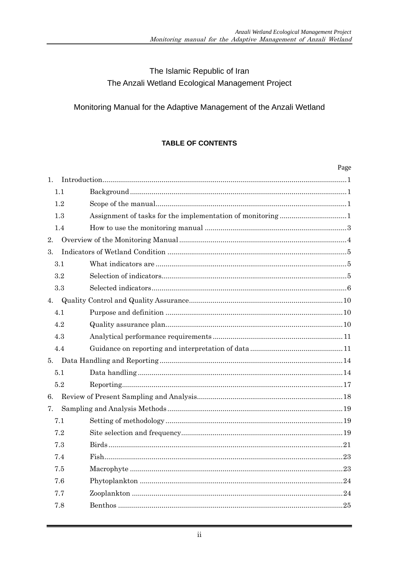# The Islamic Republic of Iran The Anzali Wetland Ecological Management Project

# Monitoring Manual for the Adaptive Management of the Anzali Wetland

# **TABLE OF CONTENTS**

|     | Page |
|-----|------|
| 1.  |      |
| 1.1 |      |
| 1.2 |      |
| 1.3 |      |
| 1.4 |      |
| 2.  |      |
| 3.  |      |
| 3.1 |      |
| 3.2 |      |
| 3.3 |      |
| 4.  |      |
| 4.1 |      |
| 4.2 |      |
| 4.3 |      |
| 4.4 |      |
| 5.  |      |
| 5.1 |      |
| 5.2 |      |
| 6.  |      |
| 7.  |      |
| 7.1 |      |
| 7.2 |      |
| 7.3 |      |
| 7.4 |      |
| 7.5 |      |
| 7.6 |      |
| 7.7 |      |
| 7.8 |      |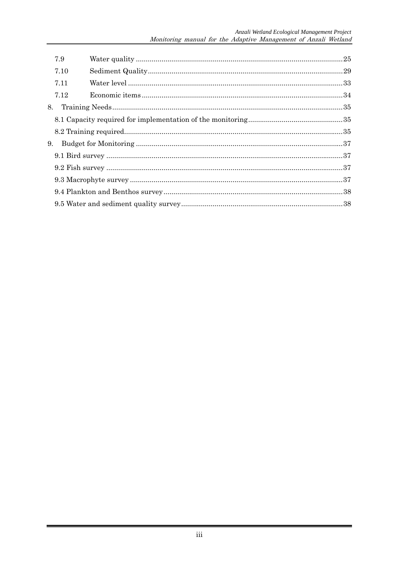|    | 7.9  |  |
|----|------|--|
|    | 7.10 |  |
|    | 7.11 |  |
|    | 7.12 |  |
| 8. |      |  |
|    |      |  |
|    |      |  |
| 9. |      |  |
|    |      |  |
|    |      |  |
|    |      |  |
|    |      |  |
|    |      |  |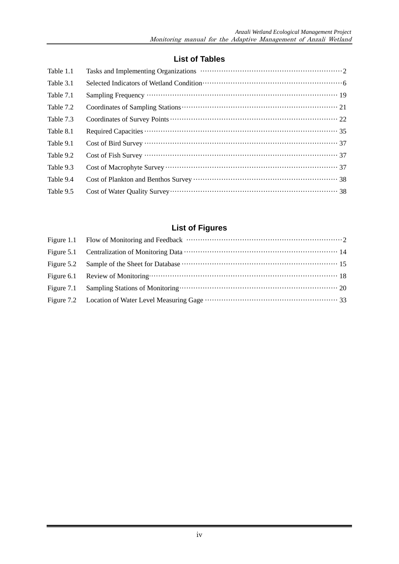# **List of Tables**

| Table 1.1 |  |
|-----------|--|
| Table 3.1 |  |
| Table 7.1 |  |
| Table 7.2 |  |
| Table 7.3 |  |
| Table 8.1 |  |
| Table 9.1 |  |
| Table 9.2 |  |
| Table 9.3 |  |
| Table 9.4 |  |
| Table 9.5 |  |

# **List of Figures**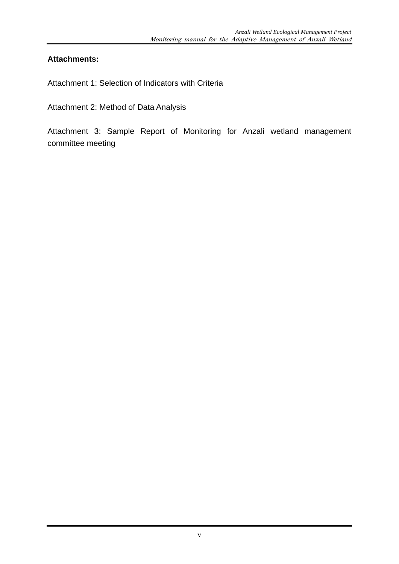# **Attachments:**

Attachment 1: Selection of Indicators with Criteria

Attachment 2: Method of Data Analysis

Attachment 3: Sample Report of Monitoring for Anzali wetland management committee meeting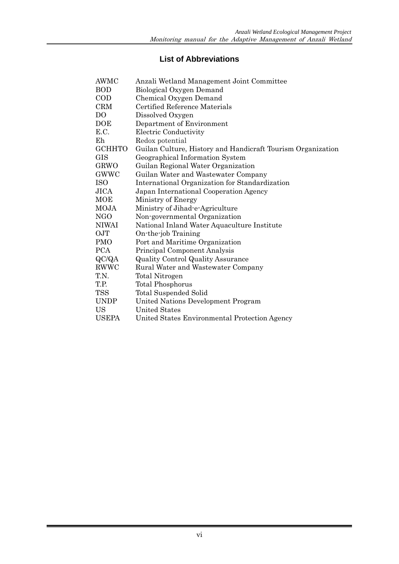# **List of Abbreviations**

| AWMC           | Anzali Wetland Management Joint Committee                   |
|----------------|-------------------------------------------------------------|
| <b>BOD</b>     | Biological Oxygen Demand                                    |
| $\rm{COD}$     | Chemical Oxygen Demand                                      |
| <b>CRM</b>     | Certified Reference Materials                               |
| D <sub>O</sub> | Dissolved Oxygen                                            |
| DOE            | Department of Environment                                   |
| E.C.           | Electric Conductivity                                       |
| Eh             | Redox potential                                             |
| <b>GCHHTO</b>  | Guilan Culture, History and Handicraft Tourism Organization |
| <b>GIS</b>     | Geographical Information System                             |
| GRWO           | Guilan Regional Water Organization                          |
| GWWC           | Guilan Water and Wastewater Company                         |
| <b>ISO</b>     | International Organization for Standardization              |
| JICA           | Japan International Cooperation Agency                      |
| MOE            | Ministry of Energy                                          |
| MOJA           | Ministry of Jihad-e-Agriculture                             |
| NGO            | Non-governmental Organization                               |
| NIWAI          | National Inland Water Aquaculture Institute                 |
| OJT            | On-the-job Training                                         |
| <b>PMO</b>     | Port and Maritime Organization                              |
| <b>PCA</b>     | Principal Component Analysis                                |
| QC/QA          | <b>Quality Control Quality Assurance</b>                    |
| <b>RWWC</b>    | Rural Water and Wastewater Company                          |
| T.N.           | Total Nitrogen                                              |
| T.P.           | <b>Total Phosphorus</b>                                     |
| <b>TSS</b>     | <b>Total Suspended Solid</b>                                |
| <b>UNDP</b>    | <b>United Nations Development Program</b>                   |
| <b>US</b>      | <b>United States</b>                                        |
| <b>USEPA</b>   | United States Environmental Protection Agency               |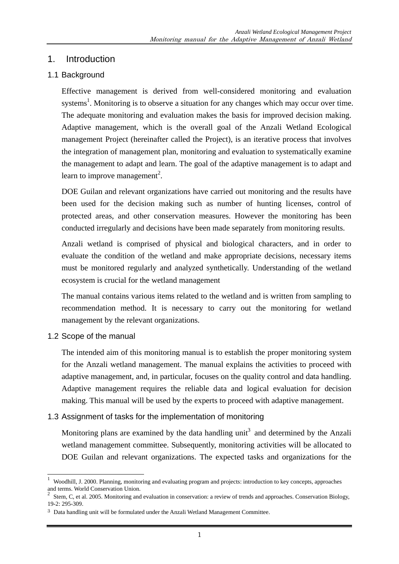# 1. Introduction

# 1.1 Background

Effective management is derived from well-considered monitoring and evaluation systems<sup>1</sup>. Monitoring is to observe a situation for any changes which may occur over time. The adequate monitoring and evaluation makes the basis for improved decision making. Adaptive management, which is the overall goal of the Anzali Wetland Ecological management Project (hereinafter called the Project), is an iterative process that involves the integration of management plan, monitoring and evaluation to systematically examine the management to adapt and learn. The goal of the adaptive management is to adapt and learn to improve management<sup>2</sup>.

DOE Guilan and relevant organizations have carried out monitoring and the results have been used for the decision making such as number of hunting licenses, control of protected areas, and other conservation measures. However the monitoring has been conducted irregularly and decisions have been made separately from monitoring results.

Anzali wetland is comprised of physical and biological characters, and in order to evaluate the condition of the wetland and make appropriate decisions, necessary items must be monitored regularly and analyzed synthetically. Understanding of the wetland ecosystem is crucial for the wetland management

The manual contains various items related to the wetland and is written from sampling to recommendation method. It is necessary to carry out the monitoring for wetland management by the relevant organizations.

1.2 Scope of the manual

-

The intended aim of this monitoring manual is to establish the proper monitoring system for the Anzali wetland management. The manual explains the activities to proceed with adaptive management, and, in particular, focuses on the quality control and data handling. Adaptive management requires the reliable data and logical evaluation for decision making. This manual will be used by the experts to proceed with adaptive management.

# 1.3 Assignment of tasks for the implementation of monitoring

Monitoring plans are examined by the data handling unit<sup>3</sup> and determined by the Anzali wetland management committee. Subsequently, monitoring activities will be allocated to DOE Guilan and relevant organizations. The expected tasks and organizations for the

<sup>1</sup> Woodhill, J. 2000. Planning, monitoring and evaluating program and projects: introduction to key concepts, approaches and terms. World Conservation Union.

<sup>&</sup>lt;sup>2</sup> Stem, C, et al. 2005. Monitoring and evaluation in conservation: a review of trends and approaches. Conservation Biology, 19-2: 295-309.

<sup>&</sup>lt;sup>3</sup> Data handling unit will be formulated under the Anzali Wetland Management Committee.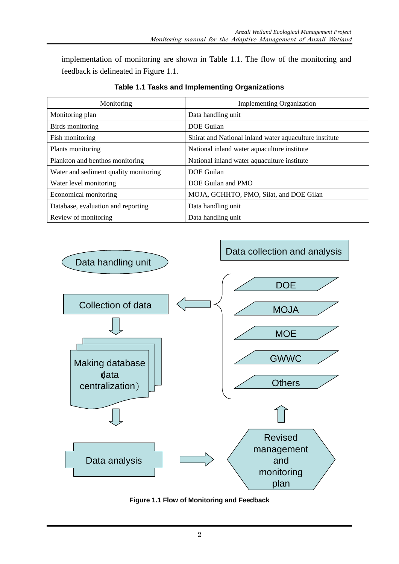implementation of monitoring are shown in Table 1.1. The flow of the monitoring and feedback is delineated in Figure 1.1.

| Monitoring                            | <b>Implementing Organization</b>                       |  |  |  |  |
|---------------------------------------|--------------------------------------------------------|--|--|--|--|
| Monitoring plan                       | Data handling unit                                     |  |  |  |  |
| Birds monitoring                      | DOE Guilan                                             |  |  |  |  |
| Fish monitoring                       | Shirat and National inland water aquaculture institute |  |  |  |  |
| Plants monitoring                     | National inland water aquaculture institute            |  |  |  |  |
| Plankton and benthos monitoring       | National inland water aquaculture institute            |  |  |  |  |
| Water and sediment quality monitoring | DOE Guilan                                             |  |  |  |  |
| Water level monitoring                | DOE Guilan and PMO                                     |  |  |  |  |
| Economical monitoring                 | MOJA, GCHHTO, PMO, Silat, and DOE Gilan                |  |  |  |  |
| Database, evaluation and reporting    | Data handling unit                                     |  |  |  |  |
| Review of monitoring                  | Data handling unit                                     |  |  |  |  |

# **Table 1.1 Tasks and Implementing Organizations**



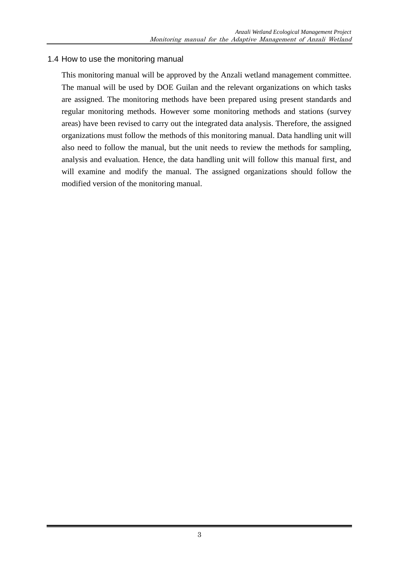#### 1.4 How to use the monitoring manual

This monitoring manual will be approved by the Anzali wetland management committee. The manual will be used by DOE Guilan and the relevant organizations on which tasks are assigned. The monitoring methods have been prepared using present standards and regular monitoring methods. However some monitoring methods and stations (survey areas) have been revised to carry out the integrated data analysis. Therefore, the assigned organizations must follow the methods of this monitoring manual. Data handling unit will also need to follow the manual, but the unit needs to review the methods for sampling, analysis and evaluation. Hence, the data handling unit will follow this manual first, and will examine and modify the manual. The assigned organizations should follow the modified version of the monitoring manual.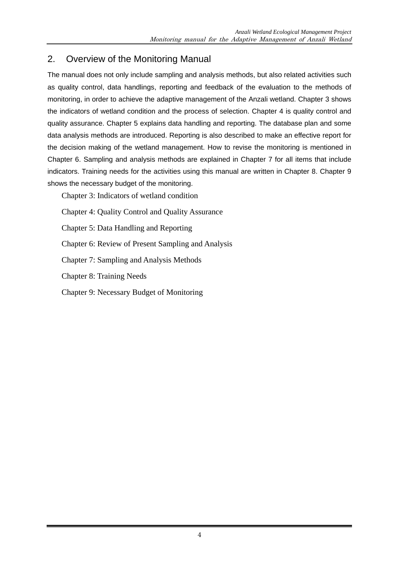# 2. Overview of the Monitoring Manual

The manual does not only include sampling and analysis methods, but also related activities such as quality control, data handlings, reporting and feedback of the evaluation to the methods of monitoring, in order to achieve the adaptive management of the Anzali wetland. Chapter 3 shows the indicators of wetland condition and the process of selection. Chapter 4 is quality control and quality assurance. Chapter 5 explains data handling and reporting. The database plan and some data analysis methods are introduced. Reporting is also described to make an effective report for the decision making of the wetland management. How to revise the monitoring is mentioned in Chapter 6. Sampling and analysis methods are explained in Chapter 7 for all items that include indicators. Training needs for the activities using this manual are written in Chapter 8. Chapter 9 shows the necessary budget of the monitoring.

Chapter 3: Indicators of wetland condition

Chapter 4: Quality Control and Quality Assurance

Chapter 5: Data Handling and Reporting

Chapter 6: Review of Present Sampling and Analysis

Chapter 7: Sampling and Analysis Methods

Chapter 8: Training Needs

Chapter 9: Necessary Budget of Monitoring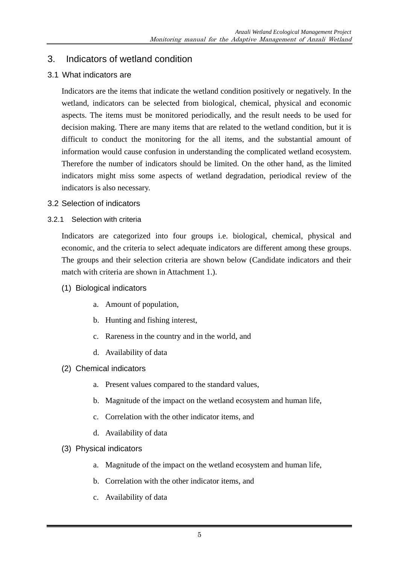# 3. Indicators of wetland condition

# 3.1 What indicators are

Indicators are the items that indicate the wetland condition positively or negatively. In the wetland, indicators can be selected from biological, chemical, physical and economic aspects. The items must be monitored periodically, and the result needs to be used for decision making. There are many items that are related to the wetland condition, but it is difficult to conduct the monitoring for the all items, and the substantial amount of information would cause confusion in understanding the complicated wetland ecosystem. Therefore the number of indicators should be limited. On the other hand, as the limited indicators might miss some aspects of wetland degradation, periodical review of the indicators is also necessary.

# 3.2 Selection of indicators

#### 3.2.1 Selection with criteria

Indicators are categorized into four groups i.e. biological, chemical, physical and economic, and the criteria to select adequate indicators are different among these groups. The groups and their selection criteria are shown below (Candidate indicators and their match with criteria are shown in Attachment 1.).

- (1) Biological indicators
	- a. Amount of population,
	- b. Hunting and fishing interest,
	- c. Rareness in the country and in the world, and
	- d. Availability of data
- (2) Chemical indicators
	- a. Present values compared to the standard values,
	- b. Magnitude of the impact on the wetland ecosystem and human life,
	- c. Correlation with the other indicator items, and
	- d. Availability of data
- (3) Physical indicators
	- a. Magnitude of the impact on the wetland ecosystem and human life,
	- b. Correlation with the other indicator items, and
	- c. Availability of data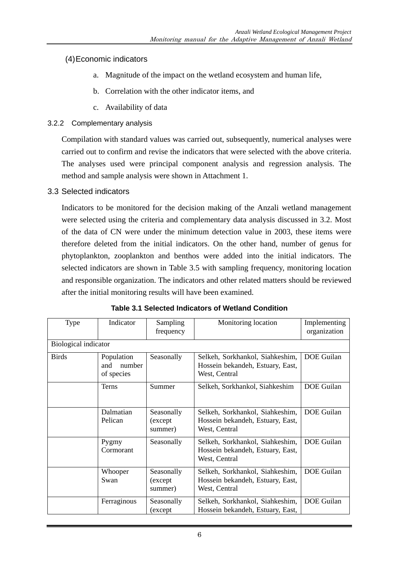# (4) Economic indicators

- a. Magnitude of the impact on the wetland ecosystem and human life,
- b. Correlation with the other indicator items, and
- c. Availability of data

#### 3.2.2 Complementary analysis

Compilation with standard values was carried out, subsequently, numerical analyses were carried out to confirm and revise the indicators that were selected with the above criteria. The analyses used were principal component analysis and regression analysis. The method and sample analysis were shown in Attachment 1.

#### 3.3 Selected indicators

Indicators to be monitored for the decision making of the Anzali wetland management were selected using the criteria and complementary data analysis discussed in 3.2. Most of the data of CN were under the minimum detection value in 2003, these items were therefore deleted from the initial indicators. On the other hand, number of genus for phytoplankton, zooplankton and benthos were added into the initial indicators. The selected indicators are shown in Table 3.5 with sampling frequency, monitoring location and responsible organization. The indicators and other related matters should be reviewed after the initial monitoring results will have been examined.

| Type                 | Indicator                                 | Sampling<br>frequency            | Monitoring location                                                                  | Implementing<br>organization |
|----------------------|-------------------------------------------|----------------------------------|--------------------------------------------------------------------------------------|------------------------------|
| Biological indicator |                                           |                                  |                                                                                      |                              |
| <b>Birds</b>         | Population<br>number<br>and<br>of species | Seasonally                       | Selkeh, Sorkhankol, Siahkeshim,<br>Hossein bekandeh, Estuary, East,<br>West, Central | <b>DOE</b> Guilan            |
|                      | <b>Terns</b>                              | Summer                           | Selkeh, Sorkhankol, Siahkeshim                                                       | <b>DOE</b> Guilan            |
|                      | Dalmatian<br>Pelican                      | Seasonally<br>(except<br>summer) | Selkeh, Sorkhankol, Siahkeshim,<br>Hossein bekandeh, Estuary, East,<br>West, Central | <b>DOE</b> Guilan            |
|                      | Pygmy<br>Cormorant                        | Seasonally                       | Selkeh, Sorkhankol, Siahkeshim,<br>Hossein bekandeh, Estuary, East,<br>West, Central | <b>DOE</b> Guilan            |
| Whooper<br>Swan      |                                           | Seasonally<br>(except<br>summer) | Selkeh, Sorkhankol, Siahkeshim,<br>Hossein bekandeh, Estuary, East,<br>West, Central | <b>DOE</b> Guilan            |
|                      | Ferraginous                               | Seasonally<br>(except)           | Selkeh, Sorkhankol, Siahkeshim,<br>Hossein bekandeh, Estuary, East,                  | DOE Guilan                   |

| Table 3.1 Selected Indicators of Wetland Condition |  |
|----------------------------------------------------|--|
|----------------------------------------------------|--|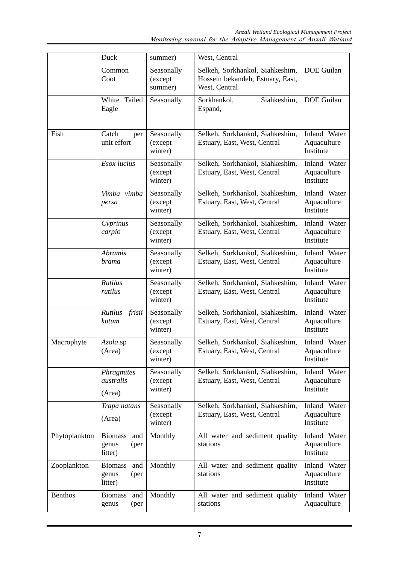|                | Duck                                              | summer)                           | West, Central                                                                        |                                          |  |
|----------------|---------------------------------------------------|-----------------------------------|--------------------------------------------------------------------------------------|------------------------------------------|--|
|                | Common<br>Coot                                    | Seasonally<br>(except<br>summer)  | Selkeh, Sorkhankol, Siahkeshim,<br>Hossein bekandeh, Estuary, East,<br>West, Central | DOE Guilan                               |  |
|                | White<br>Tailed<br>Eagle                          | Seasonally                        | Sorkhankol,<br>Siahkeshim,<br>Espand,                                                | <b>DOE</b> Guilan                        |  |
| Fish           | Catch<br>per<br>unit effort                       | Seasonally<br>(except<br>winter)  | Selkeh, Sorkhankol, Siahkeshim,<br>Estuary, East, West, Central                      | Inland Water<br>Aquaculture<br>Institute |  |
|                | Esox lucius                                       | Seasonally<br>(except<br>winter)  | Selkeh, Sorkhankol, Siahkeshim,<br>Estuary, East, West, Central                      | Inland Water<br>Aquaculture<br>Institute |  |
|                | Vimba vimba<br>persa                              | Seasonally<br>(except<br>winter)  | Selkeh, Sorkhankol, Siahkeshim,<br>Estuary, East, West, Central                      | Inland Water<br>Aquaculture<br>Institute |  |
|                | Cyprinus<br>carpio                                | Seasonally<br>(except<br>winter)  | Selkeh, Sorkhankol, Siahkeshim,<br>Estuary, East, West, Central                      | Inland Water<br>Aquaculture<br>Institute |  |
|                | <b>Abramis</b><br>brama                           | Seasonally<br>(except<br>winter)  | Selkeh, Sorkhankol, Siahkeshim,<br>Estuary, East, West, Central                      | Inland Water<br>Aquaculture<br>Institute |  |
|                | Rutilus<br>rutilus                                | Seasonally<br>(except<br>winter)  | Selkeh, Sorkhankol, Siahkeshim,<br>Estuary, East, West, Central                      | Inland Water<br>Aquaculture<br>Institute |  |
|                | Rutilus frisii<br>kutum                           | Seasonally<br>(except<br>winter)  | Selkeh, Sorkhankol, Siahkeshim,<br>Estuary, East, West, Central                      | Inland Water<br>Aquaculture<br>Institute |  |
| Macrophyte     | Azola.sp<br>(Area)                                | Seasonally<br>(except)<br>winter) | Selkeh, Sorkhankol, Siahkeshim,<br>Estuary, East, West, Central                      | Inland Water<br>Aquaculture<br>Institute |  |
|                | Phragmites<br>australis<br>(Area)                 | Seasonally<br>(except<br>winter)  | Selkeh, Sorkhankol, Siahkeshim,<br>Estuary, East, West, Central                      | Inland Water<br>Aquaculture<br>Institute |  |
|                | Trapa natans<br>(Area)                            | Seasonally<br>(except<br>winter)  | Selkeh, Sorkhankol, Siahkeshim,<br>Estuary, East, West, Central                      | Inland Water<br>Aquaculture<br>Institute |  |
| Phytoplankton  | and<br><b>Biomass</b><br>genus<br>(per<br>litter) | Monthly                           | All water and sediment quality<br>stations                                           | Inland Water<br>Aquaculture<br>Institute |  |
| Zooplankton    | <b>Biomass</b><br>and<br>genus<br>(per<br>litter) | Monthly                           | All water and sediment quality<br>stations                                           | Inland Water<br>Aquaculture<br>Institute |  |
| <b>Benthos</b> | and<br><b>Biomass</b><br>(per<br>genus            | Monthly                           | All water and sediment quality<br>stations                                           | Inland Water<br>Aquaculture              |  |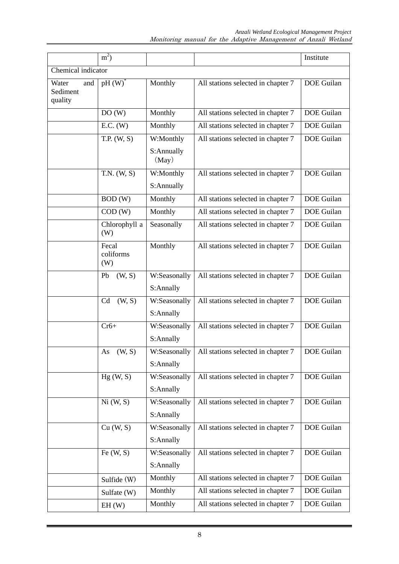|                                     | $m^2$ )                   |                           |                                    | Institute         |  |  |  |  |  |
|-------------------------------------|---------------------------|---------------------------|------------------------------------|-------------------|--|--|--|--|--|
| Chemical indicator                  |                           |                           |                                    |                   |  |  |  |  |  |
| Water<br>and<br>Sediment<br>quality | $pH(W)^*$                 | Monthly                   | All stations selected in chapter 7 | DOE Guilan        |  |  |  |  |  |
|                                     | DO(W)                     | Monthly                   | All stations selected in chapter 7 | <b>DOE</b> Guilan |  |  |  |  |  |
|                                     | E.C. (W)                  | Monthly                   | All stations selected in chapter 7 | <b>DOE</b> Guilan |  |  |  |  |  |
|                                     | T.P. (W, S)               | W:Monthly                 | All stations selected in chapter 7 | DOE Guilan        |  |  |  |  |  |
|                                     |                           | S:Annually<br>(May)       |                                    |                   |  |  |  |  |  |
|                                     | T.N. (W, S)               | W:Monthly                 | All stations selected in chapter 7 | <b>DOE</b> Guilan |  |  |  |  |  |
|                                     |                           | S:Annually                |                                    |                   |  |  |  |  |  |
|                                     | BOD(W)                    | Monthly                   | All stations selected in chapter 7 | <b>DOE</b> Guilan |  |  |  |  |  |
|                                     | COD(W)                    | Monthly                   | All stations selected in chapter 7 | <b>DOE</b> Guilan |  |  |  |  |  |
|                                     | Chlorophyll a<br>(W)      | Seasonally                | All stations selected in chapter 7 | <b>DOE</b> Guilan |  |  |  |  |  |
|                                     | Fecal<br>coliforms<br>(W) | Monthly                   | All stations selected in chapter 7 | <b>DOE</b> Guilan |  |  |  |  |  |
|                                     | (W, S)<br>Pb              | W:Seasonally              | All stations selected in chapter 7 | <b>DOE</b> Guilan |  |  |  |  |  |
|                                     |                           | S:Annally                 |                                    |                   |  |  |  |  |  |
|                                     | Cd<br>(W, S)              | W:Seasonally<br>S:Annally | All stations selected in chapter 7 | <b>DOE</b> Guilan |  |  |  |  |  |
|                                     | $Cr6+$                    | W:Seasonally<br>S:Annally | All stations selected in chapter 7 | <b>DOE</b> Guilan |  |  |  |  |  |
|                                     | As $(W, S)$               | W:Seasonally<br>S:Annally | All stations selected in chapter 7 | DOE Guilan        |  |  |  |  |  |
|                                     | Hg(W, S)                  | W:Seasonally<br>S:Annally | All stations selected in chapter 7 | DOE Guilan        |  |  |  |  |  |
|                                     | Ni(W, S)                  | W:Seasonally<br>S:Annally | All stations selected in chapter 7 | <b>DOE</b> Guilan |  |  |  |  |  |
|                                     | Cu (W, S)                 | W:Seasonally<br>S:Annally | All stations selected in chapter 7 | DOE Guilan        |  |  |  |  |  |
|                                     | Fe $(W, S)$               | W:Seasonally<br>S:Annally | All stations selected in chapter 7 | DOE Guilan        |  |  |  |  |  |
|                                     | Sulfide (W)               | Monthly                   | All stations selected in chapter 7 | DOE Guilan        |  |  |  |  |  |
|                                     | Sulfate (W)               | Monthly                   | All stations selected in chapter 7 | DOE Guilan        |  |  |  |  |  |
|                                     | EH(W)                     | Monthly                   | All stations selected in chapter 7 | DOE Guilan        |  |  |  |  |  |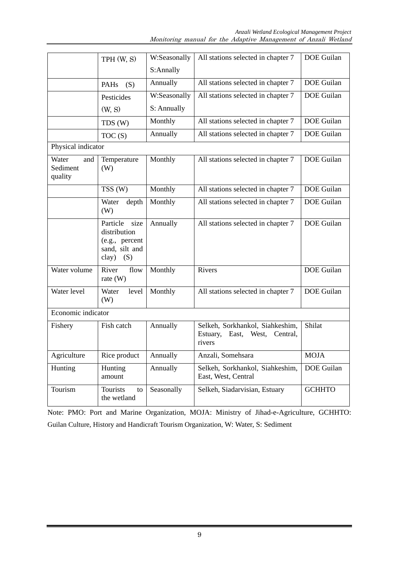|                                     | TPH (W, S)                                                                           | W:Seasonally | All stations selected in chapter 7                                                  | <b>DOE</b> Guilan |
|-------------------------------------|--------------------------------------------------------------------------------------|--------------|-------------------------------------------------------------------------------------|-------------------|
|                                     |                                                                                      | S:Annally    |                                                                                     |                   |
|                                     | PAHs<br>(S)                                                                          | Annually     | All stations selected in chapter 7                                                  | <b>DOE</b> Guilan |
|                                     | Pesticides                                                                           | W:Seasonally | All stations selected in chapter 7                                                  | <b>DOE</b> Guilan |
|                                     | (W, S)                                                                               | S: Annually  |                                                                                     |                   |
|                                     | TDS (W)                                                                              | Monthly      | All stations selected in chapter 7                                                  | DOE Guilan        |
|                                     | TOC(S)                                                                               | Annually     | All stations selected in chapter 7                                                  | <b>DOE</b> Guilan |
| Physical indicator                  |                                                                                      |              |                                                                                     |                   |
| Water<br>and<br>Sediment<br>quality | Temperature<br>(W)                                                                   | Monthly      | All stations selected in chapter 7                                                  | <b>DOE</b> Guilan |
|                                     | TSS (W)                                                                              | Monthly      | All stations selected in chapter 7                                                  | <b>DOE</b> Guilan |
|                                     | Water<br>depth<br>(W)                                                                | Monthly      | All stations selected in chapter 7                                                  | <b>DOE</b> Guilan |
|                                     | Particle<br>size<br>distribution<br>(e.g., percent<br>sand, silt and<br>clay)<br>(S) | Annually     | All stations selected in chapter 7                                                  | <b>DOE</b> Guilan |
| Water volume                        | River<br>flow<br>rate $(W)$                                                          | Monthly      | Rivers                                                                              | <b>DOE</b> Guilan |
| Water level                         | Water<br>level<br>(W)                                                                | Monthly      | All stations selected in chapter 7                                                  | <b>DOE</b> Guilan |
| Economic indicator                  |                                                                                      |              |                                                                                     |                   |
| Fishery                             | Fish catch                                                                           | Annually     | Selkeh, Sorkhankol, Siahkeshim,<br>Estuary,<br>East,<br>West,<br>Central,<br>rivers | Shilat            |
| Agriculture                         | Rice product                                                                         | Annually     | Anzali, Somehsara                                                                   | <b>MOJA</b>       |
| Hunting                             | Hunting<br>amount                                                                    | Annually     | Selkeh, Sorkhankol, Siahkeshim,<br>East, West, Central                              | DOE Guilan        |
| Tourism                             | Tourists<br>to<br>the wetland                                                        | Seasonally   | Selkeh, Siadarvisian, Estuary                                                       | <b>GCHHTO</b>     |

Note: PMO: Port and Marine Organization, MOJA: Ministry of Jihad-e-Agriculture, GCHHTO: Guilan Culture, History and Handicraft Tourism Organization, W: Water, S: Sediment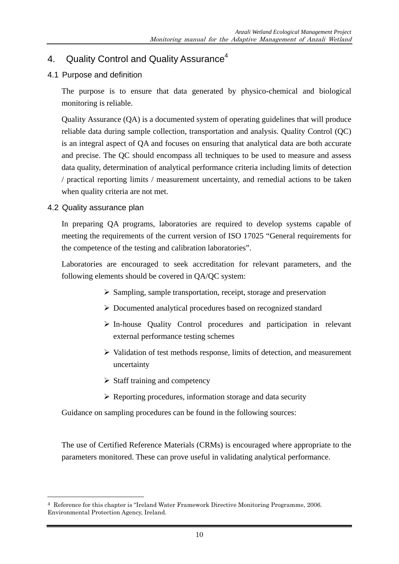# 4. Quality Control and Quality Assurance<sup>4</sup>

# 4.1 Purpose and definition

The purpose is to ensure that data generated by physico-chemical and biological monitoring is reliable.

Quality Assurance (QA) is a documented system of operating guidelines that will produce reliable data during sample collection, transportation and analysis. Quality Control (QC) is an integral aspect of QA and focuses on ensuring that analytical data are both accurate and precise. The QC should encompass all techniques to be used to measure and assess data quality, determination of analytical performance criteria including limits of detection / practical reporting limits / measurement uncertainty, and remedial actions to be taken when quality criteria are not met.

#### 4.2 Quality assurance plan

-

In preparing QA programs, laboratories are required to develop systems capable of meeting the requirements of the current version of ISO 17025 "General requirements for the competence of the testing and calibration laboratories".

Laboratories are encouraged to seek accreditation for relevant parameters, and the following elements should be covered in QA/QC system:

- $\triangleright$  Sampling, sample transportation, receipt, storage and preservation
- Documented analytical procedures based on recognized standard
- In-house Quality Control procedures and participation in relevant external performance testing schemes
- $\triangleright$  Validation of test methods response, limits of detection, and measurement uncertainty
- $\triangleright$  Staff training and competency
- $\triangleright$  Reporting procedures, information storage and data security

Guidance on sampling procedures can be found in the following sources:

The use of Certified Reference Materials (CRMs) is encouraged where appropriate to the parameters monitored. These can prove useful in validating analytical performance.

<sup>4</sup> Reference for this chapter is "Ireland Water Framework Directive Monitoring Programme, 2006. Environmental Protection Agency, Ireland.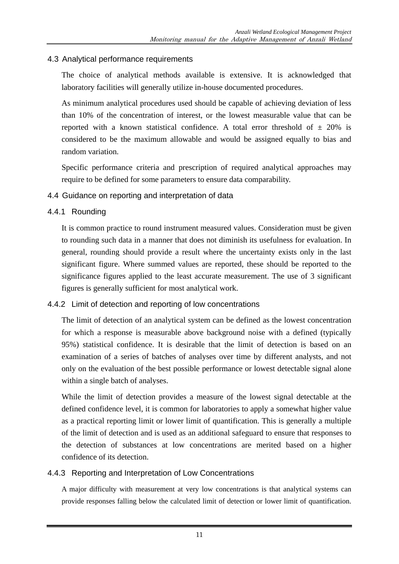#### 4.3 Analytical performance requirements

The choice of analytical methods available is extensive. It is acknowledged that laboratory facilities will generally utilize in-house documented procedures.

As minimum analytical procedures used should be capable of achieving deviation of less than 10% of the concentration of interest, or the lowest measurable value that can be reported with a known statistical confidence. A total error threshold of  $\pm$  20% is considered to be the maximum allowable and would be assigned equally to bias and random variation.

Specific performance criteria and prescription of required analytical approaches may require to be defined for some parameters to ensure data comparability.

#### 4.4 Guidance on reporting and interpretation of data

#### 4.4.1 Rounding

It is common practice to round instrument measured values. Consideration must be given to rounding such data in a manner that does not diminish its usefulness for evaluation. In general, rounding should provide a result where the uncertainty exists only in the last significant figure. Where summed values are reported, these should be reported to the significance figures applied to the least accurate measurement. The use of 3 significant figures is generally sufficient for most analytical work.

# 4.4.2 Limit of detection and reporting of low concentrations

The limit of detection of an analytical system can be defined as the lowest concentration for which a response is measurable above background noise with a defined (typically 95%) statistical confidence. It is desirable that the limit of detection is based on an examination of a series of batches of analyses over time by different analysts, and not only on the evaluation of the best possible performance or lowest detectable signal alone within a single batch of analyses.

While the limit of detection provides a measure of the lowest signal detectable at the defined confidence level, it is common for laboratories to apply a somewhat higher value as a practical reporting limit or lower limit of quantification. This is generally a multiple of the limit of detection and is used as an additional safeguard to ensure that responses to the detection of substances at low concentrations are merited based on a higher confidence of its detection.

# 4.4.3 Reporting and Interpretation of Low Concentrations

A major difficulty with measurement at very low concentrations is that analytical systems can provide responses falling below the calculated limit of detection or lower limit of quantification.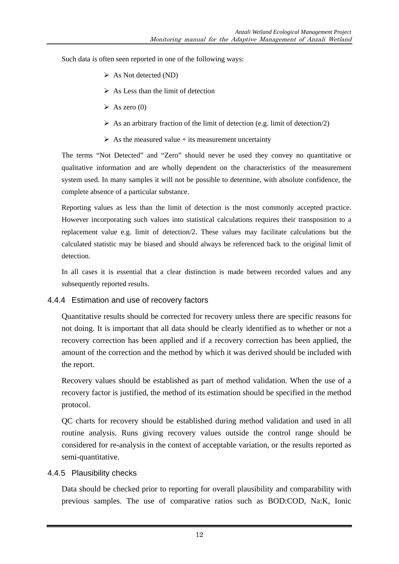Such data is often seen reported in one of the following ways:

- $\triangleright$  As Not detected (ND)
- $\triangleright$  As Less than the limit of detection
- $\triangleright$  As zero (0)
- $\triangleright$  As an arbitrary fraction of the limit of detection (e.g. limit of detection/2)
- $\triangleright$  As the measured value + its measurement uncertainty

The terms "Not Detected" and "Zero" should never be used they convey no quantitative or qualitative information and are wholly dependent on the characteristics of the measurement system used. In many samples it will not be possible to determine, with absolute confidence, the complete absence of a particular substance.

Reporting values as less than the limit of detection is the most commonly accepted practice. However incorporating such values into statistical calculations requires their transposition to a replacement value e.g. limit of detection/2. These values may facilitate calculations but the calculated statistic may be biased and should always be referenced back to the original limit of detection.

In all cases it is essential that a clear distinction is made between recorded values and any subsequently reported results.

#### 4.4.4 Estimation and use of recovery factors

Quantitative results should be corrected for recovery unless there are specific reasons for not doing. It is important that all data should be clearly identified as to whether or not a recovery correction has been applied and if a recovery correction has been applied, the amount of the correction and the method by which it was derived should be included with the report.

Recovery values should be established as part of method validation. When the use of a recovery factor is justified, the method of its estimation should be specified in the method protocol.

QC charts for recovery should be established during method validation and used in all routine analysis. Runs giving recovery values outside the control range should be considered for re-analysis in the context of acceptable variation, or the results reported as semi-quantitative.

#### 4.4.5 Plausibility checks

Data should be checked prior to reporting for overall plausibility and comparability with previous samples. The use of comparative ratios such as BOD:COD, Na:K, Ionic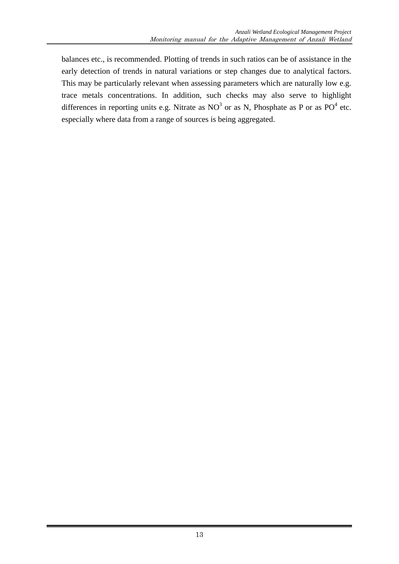balances etc., is recommended. Plotting of trends in such ratios can be of assistance in the early detection of trends in natural variations or step changes due to analytical factors. This may be particularly relevant when assessing parameters which are naturally low e.g. trace metals concentrations. In addition, such checks may also serve to highlight differences in reporting units e.g. Nitrate as  $NO<sup>3</sup>$  or as N, Phosphate as P or as  $PO<sup>4</sup>$  etc. especially where data from a range of sources is being aggregated.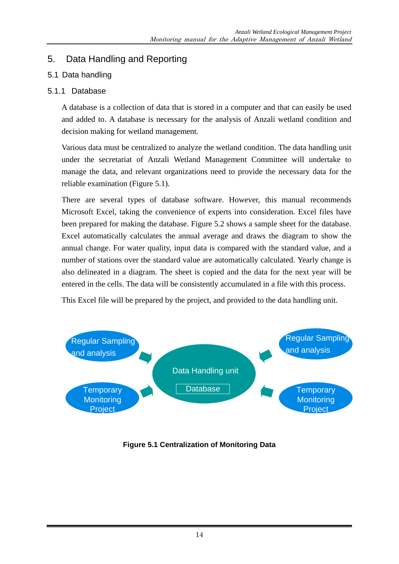# 5. Data Handling and Reporting

# 5.1 Data handling

# 5.1.1 Database

A database is a collection of data that is stored in a computer and that can easily be used and added to. A database is necessary for the analysis of Anzali wetland condition and decision making for wetland management.

Various data must be centralized to analyze the wetland condition. The data handling unit under the secretariat of Anzali Wetland Management Committee will undertake to manage the data, and relevant organizations need to provide the necessary data for the reliable examination (Figure 5.1).

There are several types of database software. However, this manual recommends Microsoft Excel, taking the convenience of experts into consideration. Excel files have been prepared for making the database. Figure 5.2 shows a sample sheet for the database. Excel automatically calculates the annual average and draws the diagram to show the annual change. For water quality, input data is compared with the standard value, and a number of stations over the standard value are automatically calculated. Yearly change is also delineated in a diagram. The sheet is copied and the data for the next year will be entered in the cells. The data will be consistently accumulated in a file with this process.

This Excel file will be prepared by the project, and provided to the data handling unit.



**Figure 5.1 Centralization of Monitoring Data**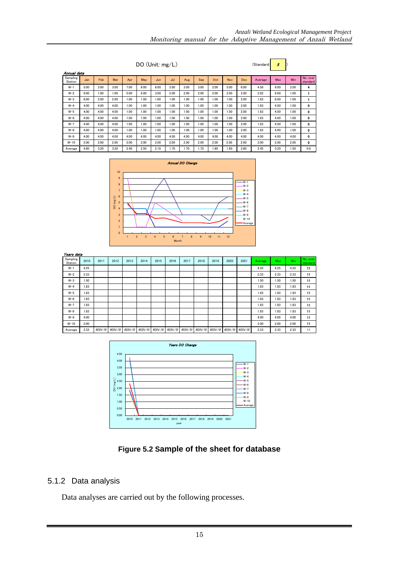| DO (Unit: mg/L)<br>(Standard:<br>nnual data |       |      |      |      |       |      |       |       | 5    |      |       |      |         |      |      |                      |
|---------------------------------------------|-------|------|------|------|-------|------|-------|-------|------|------|-------|------|---------|------|------|----------------------|
| Sampling<br>Station                         | Jan   | Feb  | Mar  | Apr  | May   | Jun  | Jul   | Aug   | Sep  | Oct  | Nov   | Dec  | Average | Max  | Min  | No. over<br>standard |
| $W-1$                                       | 5.00  | 3.00 | 3.00 | 7.00 | 9.00  | 6.00 | 3.00  | 3.00  | 3.00 | 2.00 | 5.00  | 6.00 | 4.58    | 9.00 | 2.00 |                      |
|                                             | $  -$ |      | .    |      | $  -$ | .    | $  -$ | $  -$ | .    | .    | $  -$ | .    | .       | .    | .    |                      |

| . .     | $\sim$ . $\sim$ $\sim$ | $\sim$ |      | $\cdots$ | $\cdots$        | $\sim$ . $\sim$ $\sim$ | $\sim$ | $\cdots$ |      | ---  | $\sim$ . $\sim$ $\sim$ |      |      | $\sim$ . $\sim$ $\sim$ | ---  |              |
|---------|------------------------|--------|------|----------|-----------------|------------------------|--------|----------|------|------|------------------------|------|------|------------------------|------|--------------|
| $W-2$   | 9.00                   | 1.00   | 1.00 | 5.00     | 4.00            | 3.00                   | 2.00   | 2.00     | 2.00 | 2.00 | 2.00                   | 2.00 | 2.92 | 9.00                   | 1.00 |              |
| $W-3$   | 8.00                   | 2.00   | 2.00 | 1.00     | 00.1            | .00                    | 1.00   | 1.00     | 1.00 | 1.00 | 1.00                   | 2.00 | 1.83 | 8.00                   | 1.00 |              |
| $W-4$   | 4.00                   | 4.00   | 4.00 | 1.00     | .00             | .00                    | 1.00   | 00.1     | 1.00 | 1.00 | 1.00                   | 2.00 | 1.83 | 4.00                   | 1.00 | 0            |
| $W-5$   | 4.00                   | 4.00   | 4.00 | 1.00     | 00 <sub>1</sub> | .00                    | 1.00   | 1.00     | 1.00 | 1.00 | 1.00                   | 2.00 | 1.83 | 4.00                   | 1.00 | 0            |
| $W-6$   | 4.00                   | 4.00   | 4.00 | 1.00     | 00.1            | 00.1                   | 1.00   | 1.00     | 00.1 | 1.00 | 1.00                   | 2.00 | 1.83 | 4.00                   | 1.00 | 0            |
| $W-7$   | 4.00                   | 4.00   | 4.00 | 1.00     | .00             | .00                    | 1.00   | 1.00     | 1.00 | 1.00 | 1.00                   | 2.00 | .83  | 4.00                   | 1.00 | $\mathbf 0$  |
| $W-8$   | 4.00                   | 4.00   | 4.00 | 1.00     | .00             | .00                    | 1.00   | 1.00     | 1.00 | 1.00 | 1.00                   | 2.00 | 1.83 | 4.00                   | 1.00 | o            |
| $W-9$   | 4.00                   | 4.00   | 4.00 | 4.00     | 4.00            | 4.00                   | 4.00   | 4.00     | 4.00 | 4.00 | 4.00                   | 4.00 | 4.00 | 4.00                   | 4.00 | $\mathbf{0}$ |
| $W-10$  | 2.00                   | 2.00   | 2.00 | 2.00     | 2.00            | 2.00                   | 2.00   | 2.00     | 2.00 | 2.00 | 2.00                   | 2.00 | 2.00 | 2.00                   | 2.00 | o            |
| Average | 4.80                   | 3.20   | 3.20 | 2.40     | 2.50            | 2.10                   | 1.70   | .70      | 1.70 | .60  | .90                    | 2.60 | 2.45 | 5.20                   | .50  | 0.6          |



| Years data          |      |         |         |         |         |         |         |         |         |         |         |         |                |      |      |                      |
|---------------------|------|---------|---------|---------|---------|---------|---------|---------|---------|---------|---------|---------|----------------|------|------|----------------------|
| Sampling<br>Station | 2010 | 2011    | 2012    | 2013    | 2014    | 2015    | 2016    | 2017    | 2018    | 2019    | 2020    | 2021    | <b>Average</b> | Max  | Min  | No. over<br>standard |
| $W-1$               | 4.25 |         |         |         |         |         |         |         |         |         |         |         | 4.25           | 4.25 | 4.25 | 11                   |
| $W-2$               | 2.33 |         |         |         |         |         |         |         |         |         |         |         | 2.33           | 2.33 | 2.33 | 11                   |
| $W-3$               | 1.50 |         |         |         |         |         |         |         |         |         |         |         | 1.50           | 1.50 | 1.50 | 11                   |
| $W-4$               | 1.83 |         |         |         |         |         |         |         |         |         |         |         | 1.83           | 1.83 | 1.83 | 11                   |
| $W-5$               | 1.83 |         |         |         |         |         |         |         |         |         |         |         | 1.83           | 1.83 | 1.83 | 11                   |
| $W-6$               | 1.83 |         |         |         |         |         |         |         |         |         |         |         | 1.83           | 1.83 | 1.83 | 11                   |
| $W-7$               | 1.83 |         |         |         |         |         |         |         |         |         |         |         | 1.83           | 1.83 | 1.83 | 11                   |
| $W-8$               | 1.83 |         |         |         |         |         |         |         |         |         |         |         | 1.83           | 1.83 | 1.83 | 11                   |
| $W-9$               | 4.00 |         |         |         |         |         |         |         |         |         |         |         | 4.00           | 4.00 | 4.00 | 11                   |
| $W-10$              | 2.00 |         |         |         |         |         |         |         |         |         |         |         | 2.00           | 2.00 | 2.00 | 11                   |
| Average             | 2.33 | #DIV/0! | #DIV/0! | #DIV/0! | #DIV/0! | #DIV/0! | #DIV/0! | #DIV/0! | #DIV/0! | #DIV/0! | #DIV/0! | #DIV/0! | 2.33           | 2.33 | 2.33 | 11                   |



**Figure 5.2 Sample of the sheet for database**

# 5.1.2 Data analysis

Annual data Sampling

Data analyses are carried out by the following processes.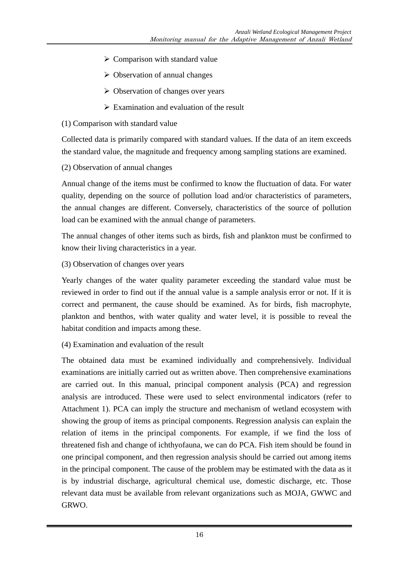- $\triangleright$  Comparison with standard value
- $\triangleright$  Observation of annual changes
- $\triangleright$  Observation of changes over years
- $\triangleright$  Examination and evaluation of the result
- (1) Comparison with standard value

Collected data is primarily compared with standard values. If the data of an item exceeds the standard value, the magnitude and frequency among sampling stations are examined.

(2) Observation of annual changes

Annual change of the items must be confirmed to know the fluctuation of data. For water quality, depending on the source of pollution load and/or characteristics of parameters, the annual changes are different. Conversely, characteristics of the source of pollution load can be examined with the annual change of parameters.

The annual changes of other items such as birds, fish and plankton must be confirmed to know their living characteristics in a year.

(3) Observation of changes over years

Yearly changes of the water quality parameter exceeding the standard value must be reviewed in order to find out if the annual value is a sample analysis error or not. If it is correct and permanent, the cause should be examined. As for birds, fish macrophyte, plankton and benthos, with water quality and water level, it is possible to reveal the habitat condition and impacts among these.

(4) Examination and evaluation of the result

The obtained data must be examined individually and comprehensively. Individual examinations are initially carried out as written above. Then comprehensive examinations are carried out. In this manual, principal component analysis (PCA) and regression analysis are introduced. These were used to select environmental indicators (refer to Attachment 1). PCA can imply the structure and mechanism of wetland ecosystem with showing the group of items as principal components. Regression analysis can explain the relation of items in the principal components. For example, if we find the loss of threatened fish and change of ichthyofauna, we can do PCA. Fish item should be found in one principal component, and then regression analysis should be carried out among items in the principal component. The cause of the problem may be estimated with the data as it is by industrial discharge, agricultural chemical use, domestic discharge, etc. Those relevant data must be available from relevant organizations such as MOJA, GWWC and GRWO.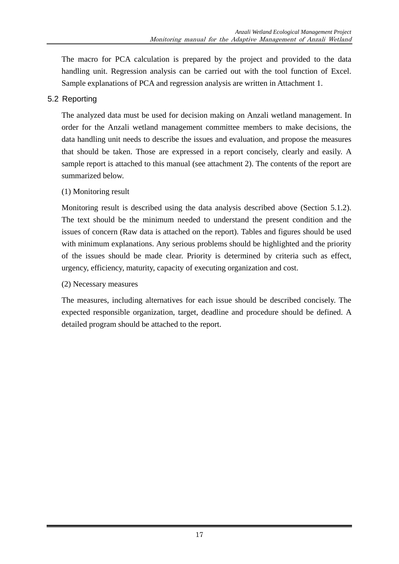The macro for PCA calculation is prepared by the project and provided to the data handling unit. Regression analysis can be carried out with the tool function of Excel. Sample explanations of PCA and regression analysis are written in Attachment 1.

# 5.2 Reporting

The analyzed data must be used for decision making on Anzali wetland management. In order for the Anzali wetland management committee members to make decisions, the data handling unit needs to describe the issues and evaluation, and propose the measures that should be taken. Those are expressed in a report concisely, clearly and easily. A sample report is attached to this manual (see attachment 2). The contents of the report are summarized below.

# (1) Monitoring result

Monitoring result is described using the data analysis described above (Section 5.1.2). The text should be the minimum needed to understand the present condition and the issues of concern (Raw data is attached on the report). Tables and figures should be used with minimum explanations. Any serious problems should be highlighted and the priority of the issues should be made clear. Priority is determined by criteria such as effect, urgency, efficiency, maturity, capacity of executing organization and cost.

# (2) Necessary measures

The measures, including alternatives for each issue should be described concisely. The expected responsible organization, target, deadline and procedure should be defined. A detailed program should be attached to the report.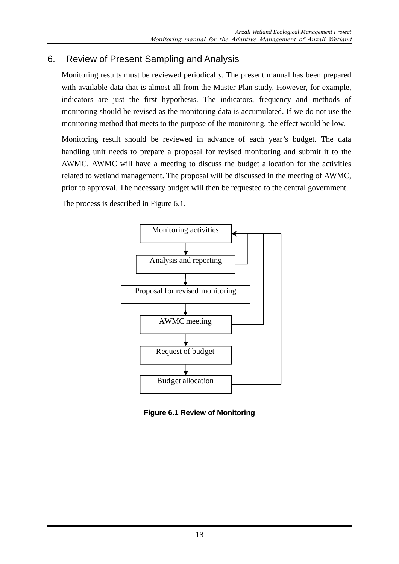# 6. Review of Present Sampling and Analysis

Monitoring results must be reviewed periodically. The present manual has been prepared with available data that is almost all from the Master Plan study. However, for example, indicators are just the first hypothesis. The indicators, frequency and methods of monitoring should be revised as the monitoring data is accumulated. If we do not use the monitoring method that meets to the purpose of the monitoring, the effect would be low.

Monitoring result should be reviewed in advance of each year's budget. The data handling unit needs to prepare a proposal for revised monitoring and submit it to the AWMC. AWMC will have a meeting to discuss the budget allocation for the activities related to wetland management. The proposal will be discussed in the meeting of AWMC, prior to approval. The necessary budget will then be requested to the central government.

The process is described in Figure 6.1.



**Figure 6.1 Review of Monitoring**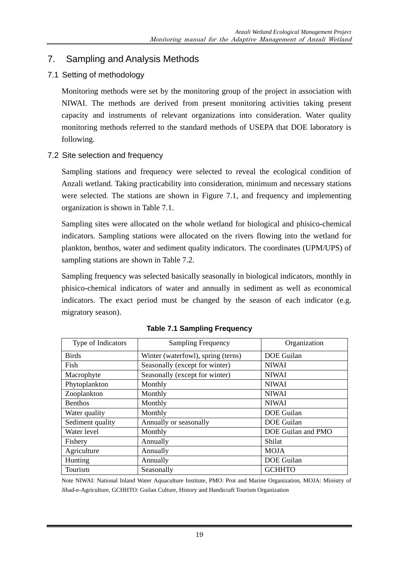# 7. Sampling and Analysis Methods

7.1 Setting of methodology

Monitoring methods were set by the monitoring group of the project in association with NIWAI. The methods are derived from present monitoring activities taking present capacity and instruments of relevant organizations into consideration. Water quality monitoring methods referred to the standard methods of USEPA that DOE laboratory is following.

7.2 Site selection and frequency

Sampling stations and frequency were selected to reveal the ecological condition of Anzali wetland. Taking practicability into consideration, minimum and necessary stations were selected. The stations are shown in Figure 7.1, and frequency and implementing organization is shown in Table 7.1.

Sampling sites were allocated on the whole wetland for biological and phisico-chemical indicators. Sampling stations were allocated on the rivers flowing into the wetland for plankton, benthos, water and sediment quality indicators. The coordinates (UPM/UPS) of sampling stations are shown in Table 7.2.

Sampling frequency was selected basically seasonally in biological indicators, monthly in phisico-chemical indicators of water and annually in sediment as well as economical indicators. The exact period must be changed by the season of each indicator (e.g. migratory season).

| Type of Indicators | <b>Sampling Frequency</b>          | Organization       |
|--------------------|------------------------------------|--------------------|
| <b>Birds</b>       | Winter (waterfowl), spring (terns) | <b>DOE</b> Guilan  |
| Fish               | Seasonally (except for winter)     | <b>NIWAI</b>       |
| Macrophyte         | Seasonally (except for winter)     | <b>NIWAI</b>       |
| Phytoplankton      | Monthly                            | <b>NIWAI</b>       |
| Zooplankton        | Monthly                            | <b>NIWAI</b>       |
| <b>Benthos</b>     | Monthly                            | <b>NIWAI</b>       |
| Water quality      | Monthly                            | <b>DOE</b> Guilan  |
| Sediment quality   | Annually or seasonally             | <b>DOE</b> Guilan  |
| Water level        | Monthly                            | DOE Guilan and PMO |
| Fishery            | Annually                           | Shilat             |
| Agriculture        | Annually                           | <b>MOJA</b>        |
| Hunting            | Annually                           | <b>DOE</b> Guilan  |
| Tourism            | Seasonally                         | <b>GCHHTO</b>      |

**Table 7.1 Sampling Frequency** 

Note NIWAI: National Inland Water Aquaculture Institute, PMO: Prot and Marine Organization, MOJA: Ministry of Jihad-e-Agriculture, GCHHTO: Guilan Culture, History and Handicraft Tourism Organization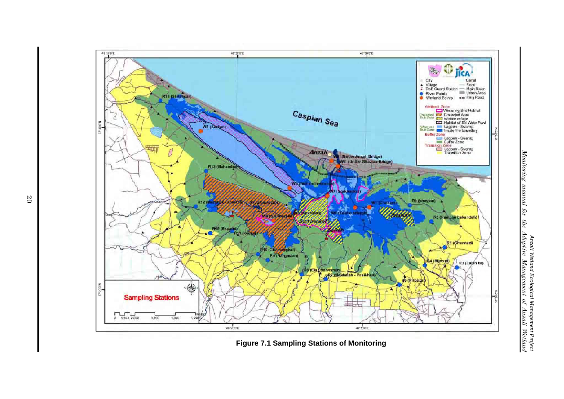

**Figure 7.1 Sampling Stations of Monitoring** 

20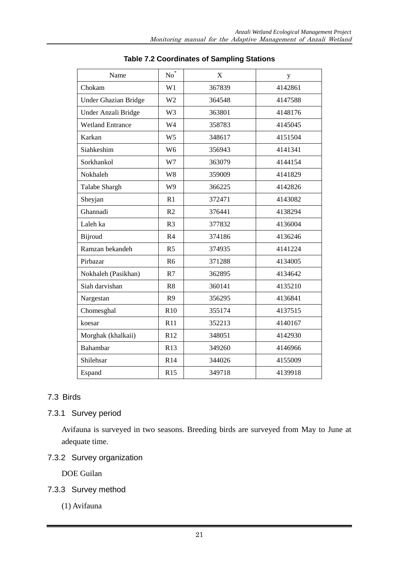| Name                        | $No^*$         | X      | y       |
|-----------------------------|----------------|--------|---------|
| Chokam                      | W1             | 367839 | 4142861 |
| <b>Under Ghazian Bridge</b> | W <sub>2</sub> | 364548 | 4147588 |
| Under Anzali Bridge         | W <sub>3</sub> | 363801 | 4148176 |
| <b>Wetland Entrance</b>     | W <sub>4</sub> | 358783 | 4145045 |
| Karkan                      | W <sub>5</sub> | 348617 | 4151504 |
| Siahkeshim                  | W <sub>6</sub> | 356943 | 4141341 |
| Sorkhankol                  | W7             | 363079 | 4144154 |
| Nokhaleh                    | W8             | 359009 | 4141829 |
| Talabe Shargh               | W <sub>9</sub> | 366225 | 4142826 |
| Sheyjan                     | R1             | 372471 | 4143082 |
| Ghannadi                    | R2             | 376441 | 4138294 |
| Laleh ka                    | R <sub>3</sub> | 377832 | 4136004 |
| <b>Bijroud</b>              | R <sub>4</sub> | 374186 | 4136246 |
| Ramzan bekandeh             | R <sub>5</sub> | 374935 | 4141224 |
| Pirbazar                    | R <sub>6</sub> | 371288 | 4134005 |
| Nokhaleh (Pasikhan)         | R7             | 362895 | 4134642 |
| Siah darvishan              | R <sub>8</sub> | 360141 | 4135210 |
| Nargestan                   | R <sub>9</sub> | 356295 | 4136841 |
| Chomesghal                  | R10            | 355174 | 4137515 |
| koesar                      | R11            | 352213 | 4140167 |
| Morghak (khalkaii)          | R12            | 348051 | 4142930 |
| Bahambar                    | R13            | 349260 | 4146966 |
| Shilehsar                   | R14            | 344026 | 4155009 |
| Espand                      | R15            | 349718 | 4139918 |

#### **Table 7.2 Coordinates of Sampling Stations**

# 7.3 Birds

# 7.3.1 Survey period

Avifauna is surveyed in two seasons. Breeding birds are surveyed from May to June at adequate time.

# 7.3.2 Survey organization

DOE Guilan

# 7.3.3 Survey method

(1) Avifauna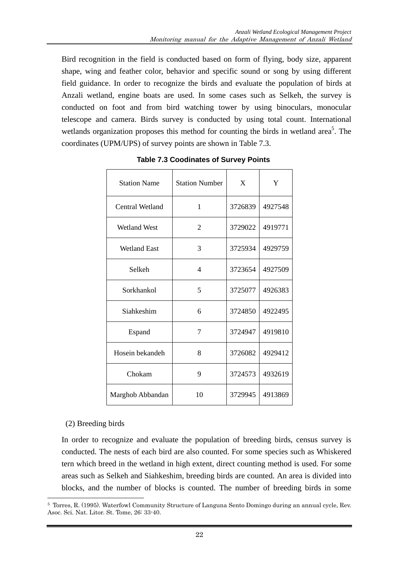Bird recognition in the field is conducted based on form of flying, body size, apparent shape, wing and feather color, behavior and specific sound or song by using different field guidance. In order to recognize the birds and evaluate the population of birds at Anzali wetland, engine boats are used. In some cases such as Selkeh, the survey is conducted on foot and from bird watching tower by using binoculars, monocular telescope and camera. Birds survey is conducted by using total count. International wetlands organization proposes this method for counting the birds in wetland area<sup>5</sup>. The coordinates (UPM/UPS) of survey points are shown in Table 7.3.

| <b>Station Name</b>    | <b>Station Number</b>    | X       | Y       |
|------------------------|--------------------------|---------|---------|
| <b>Central Wetland</b> | $\mathbf{1}$             | 3726839 | 4927548 |
| <b>Wetland West</b>    | 2                        | 3729022 | 4919771 |
| <b>Wetland East</b>    | 3                        | 3725934 | 4929759 |
| Selkeh                 | $\overline{\mathcal{L}}$ | 3723654 | 4927509 |
| Sorkhankol             | 5                        | 3725077 | 4926383 |
| Siahkeshim             | 6                        | 3724850 | 4922495 |
| Espand                 | 7                        | 3724947 | 4919810 |
| Hosein bekandeh        | 8                        | 3726082 | 4929412 |
| Chokam                 | 9                        | 3724573 | 4932619 |
| Marghob Abbandan       | 10                       | 3729945 | 4913869 |

 **Table 7.3 Coodinates of Survey Points** 

#### (2) Breeding birds

In order to recognize and evaluate the population of breeding birds, census survey is conducted. The nests of each bird are also counted. For some species such as Whiskered tern which breed in the wetland in high extent, direct counting method is used. For some areas such as Selkeh and Siahkeshim, breeding birds are counted. An area is divided into blocks, and the number of blocks is counted. The number of breeding birds in some

<sup>-</sup>5 Torres, R. (1995). Waterfowl Community Structure of Languna Sento Domingo during an annual cycle, Rev. Asoc. Sci. Nat. Litor. St. Tome, 26: 33-40.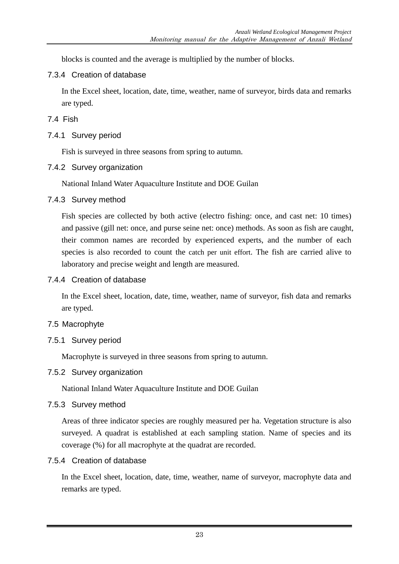blocks is counted and the average is multiplied by the number of blocks.

7.3.4 Creation of database

In the Excel sheet, location, date, time, weather, name of surveyor, birds data and remarks are typed.

# 7.4 Fish

7.4.1 Survey period

Fish is surveyed in three seasons from spring to autumn.

7.4.2 Survey organization

National Inland Water Aquaculture Institute and DOE Guilan

# 7.4.3 Survey method

Fish species are collected by both active (electro fishing: once, and cast net: 10 times) and passive (gill net: once, and purse seine net: once) methods. As soon as fish are caught, their common names are recorded by experienced experts, and the number of each species is also recorded to count the catch per unit effort. The fish are carried alive to laboratory and precise weight and length are measured.

# 7.4.4 Creation of database

In the Excel sheet, location, date, time, weather, name of surveyor, fish data and remarks are typed.

# 7.5 Macrophyte

7.5.1 Survey period

Macrophyte is surveyed in three seasons from spring to autumn.

# 7.5.2 Survey organization

National Inland Water Aquaculture Institute and DOE Guilan

# 7.5.3 Survey method

Areas of three indicator species are roughly measured per ha. Vegetation structure is also surveyed. A quadrat is established at each sampling station. Name of species and its coverage (%) for all macrophyte at the quadrat are recorded.

# 7.5.4 Creation of database

In the Excel sheet, location, date, time, weather, name of surveyor, macrophyte data and remarks are typed.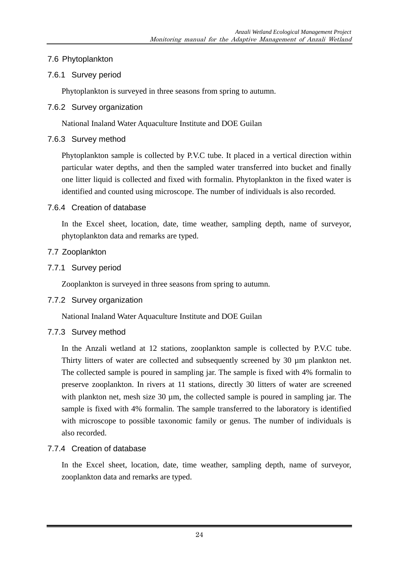# 7.6 Phytoplankton

# 7.6.1 Survey period

Phytoplankton is surveyed in three seasons from spring to autumn.

7.6.2 Survey organization

National Inaland Water Aquaculture Institute and DOE Guilan

# 7.6.3 Survey method

Phytoplankton sample is collected by P.V.C tube. It placed in a vertical direction within particular water depths, and then the sampled water transferred into bucket and finally one litter liquid is collected and fixed with formalin. Phytoplankton in the fixed water is identified and counted using microscope. The number of individuals is also recorded.

# 7.6.4 Creation of database

In the Excel sheet, location, date, time weather, sampling depth, name of surveyor, phytoplankton data and remarks are typed.

# 7.7 Zooplankton

7.7.1 Survey period

Zooplankton is surveyed in three seasons from spring to autumn.

# 7.7.2 Survey organization

National Inaland Water Aquaculture Institute and DOE Guilan

# 7.7.3 Survey method

In the Anzali wetland at 12 stations, zooplankton sample is collected by P.V.C tube. Thirty litters of water are collected and subsequently screened by 30 µm plankton net. The collected sample is poured in sampling jar. The sample is fixed with 4% formalin to preserve zooplankton. In rivers at 11 stations, directly 30 litters of water are screened with plankton net, mesh size  $30 \mu m$ , the collected sample is poured in sampling jar. The sample is fixed with 4% formalin. The sample transferred to the laboratory is identified with microscope to possible taxonomic family or genus. The number of individuals is also recorded.

# 7.7.4 Creation of database

In the Excel sheet, location, date, time weather, sampling depth, name of surveyor, zooplankton data and remarks are typed.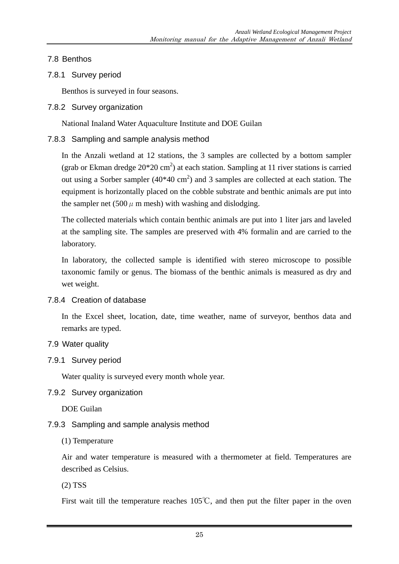7.8 Benthos

# 7.8.1 Survey period

Benthos is surveyed in four seasons.

7.8.2 Survey organization

National Inaland Water Aquaculture Institute and DOE Guilan

# 7.8.3 Sampling and sample analysis method

In the Anzali wetland at 12 stations, the 3 samples are collected by a bottom sampler (grab or Ekman dredge  $20*20$  cm<sup>2</sup>) at each station. Sampling at 11 river stations is carried out using a Sorber sampler  $(40*40 \text{ cm}^2)$  and 3 samples are collected at each station. The equipment is horizontally placed on the cobble substrate and benthic animals are put into the sampler net (500  $\mu$  m mesh) with washing and dislodging.

The collected materials which contain benthic animals are put into 1 liter jars and laveled at the sampling site. The samples are preserved with 4% formalin and are carried to the laboratory.

In laboratory, the collected sample is identified with stereo microscope to possible taxonomic family or genus. The biomass of the benthic animals is measured as dry and wet weight.

# 7.8.4 Creation of database

In the Excel sheet, location, date, time weather, name of surveyor, benthos data and remarks are typed.

# 7.9 Water quality

# 7.9.1 Survey period

Water quality is surveyed every month whole year.

# 7.9.2 Survey organization

DOE Guilan

# 7.9.3 Sampling and sample analysis method

# (1) Temperature

Air and water temperature is measured with a thermometer at field. Temperatures are described as Celsius.

(2) TSS

First wait till the temperature reaches 105℃, and then put the filter paper in the oven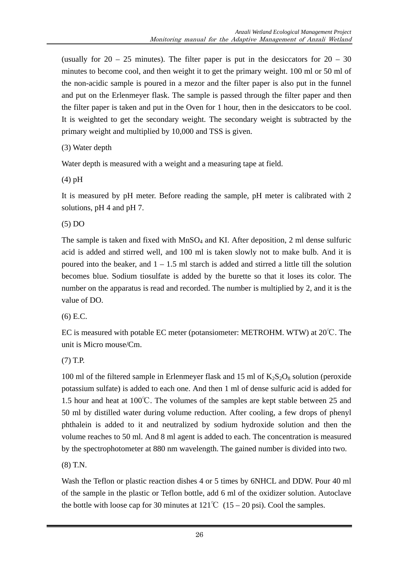(usually for  $20 - 25$  minutes). The filter paper is put in the desiccators for  $20 - 30$ minutes to become cool, and then weight it to get the primary weight. 100 ml or 50 ml of the non-acidic sample is poured in a mezor and the filter paper is also put in the funnel and put on the Erlenmeyer flask. The sample is passed through the filter paper and then the filter paper is taken and put in the Oven for 1 hour, then in the desiccators to be cool. It is weighted to get the secondary weight. The secondary weight is subtracted by the primary weight and multiplied by 10,000 and TSS is given.

```
(3) Water depth
```
Water depth is measured with a weight and a measuring tape at field.

(4) pH

It is measured by pH meter. Before reading the sample, pH meter is calibrated with 2 solutions, pH 4 and pH 7.

(5) DO

The sample is taken and fixed with  $MnSO_4$  and KI. After deposition, 2 ml dense sulfuric acid is added and stirred well, and 100 ml is taken slowly not to make bulb. And it is poured into the beaker, and  $1 - 1.5$  ml starch is added and stirred a little till the solution becomes blue. Sodium tiosulfate is added by the burette so that it loses its color. The number on the apparatus is read and recorded. The number is multiplied by 2, and it is the value of DO.

(6) E.C.

EC is measured with potable EC meter (potansiometer: METROHM. WTW) at 20℃. The unit is Micro mouse/Cm.

(7) T.P.

100 ml of the filtered sample in Erlenmeyer flask and 15 ml of  $K_2S_2O_8$  solution (peroxide potassium sulfate) is added to each one. And then 1 ml of dense sulfuric acid is added for 1.5 hour and heat at 100℃. The volumes of the samples are kept stable between 25 and 50 ml by distilled water during volume reduction. After cooling, a few drops of phenyl phthalein is added to it and neutralized by sodium hydroxide solution and then the volume reaches to 50 ml. And 8 ml agent is added to each. The concentration is measured by the spectrophotometer at 880 nm wavelength. The gained number is divided into two.

(8) T.N.

Wash the Teflon or plastic reaction dishes 4 or 5 times by 6NHCL and DDW. Pour 40 ml of the sample in the plastic or Teflon bottle, add 6 ml of the oxidizer solution. Autoclave the bottle with loose cap for 30 minutes at  $121^{\circ}C$  (15 – 20 psi). Cool the samples.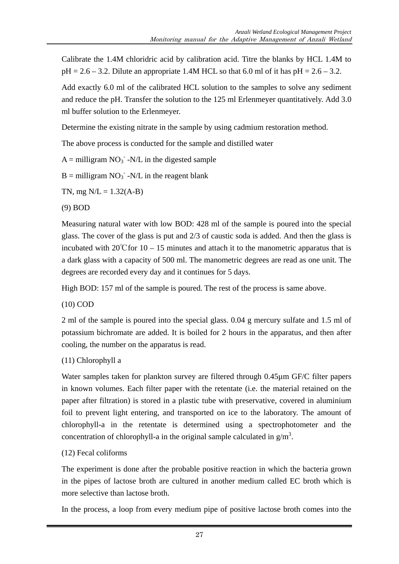Calibrate the 1.4M chloridric acid by calibration acid. Titre the blanks by HCL 1.4M to  $pH = 2.6 - 3.2$ . Dilute an appropriate 1.4M HCL so that 6.0 ml of it has  $pH = 2.6 - 3.2$ .

Add exactly 6.0 ml of the calibrated HCL solution to the samples to solve any sediment and reduce the pH. Transfer the solution to the 125 ml Erlenmeyer quantitatively. Add 3.0 ml buffer solution to the Erlenmeyer.

Determine the existing nitrate in the sample by using cadmium restoration method.

The above process is conducted for the sample and distilled water

 $A =$  milligram  $NO_3$ <sup>-</sup> $N/L$  in the digested sample

 $B =$  milligram  $NO_3^-$  -N/L in the reagent blank

TN, mg  $N/L = 1.32(A-B)$ 

(9) BOD

Measuring natural water with low BOD: 428 ml of the sample is poured into the special glass. The cover of the glass is put and 2/3 of caustic soda is added. And then the glass is incubated with  $20^{\circ}$ Cfor 10 – 15 minutes and attach it to the manometric apparatus that is a dark glass with a capacity of 500 ml. The manometric degrees are read as one unit. The degrees are recorded every day and it continues for 5 days.

High BOD: 157 ml of the sample is poured. The rest of the process is same above.

(10) COD

2 ml of the sample is poured into the special glass. 0.04 g mercury sulfate and 1.5 ml of potassium bichromate are added. It is boiled for 2 hours in the apparatus, and then after cooling, the number on the apparatus is read.

(11) Chlorophyll a

Water samples taken for plankton survey are filtered through 0.45µm GF/C filter papers in known volumes. Each filter paper with the retentate (i.e. the material retained on the paper after filtration) is stored in a plastic tube with preservative, covered in aluminium foil to prevent light entering, and transported on ice to the laboratory. The amount of chlorophyll-a in the retentate is determined using a spectrophotometer and the concentration of chlorophyll-a in the original sample calculated in  $g/m<sup>3</sup>$ .

# (12) Fecal coliforms

The experiment is done after the probable positive reaction in which the bacteria grown in the pipes of lactose broth are cultured in another medium called EC broth which is more selective than lactose broth.

In the process, a loop from every medium pipe of positive lactose broth comes into the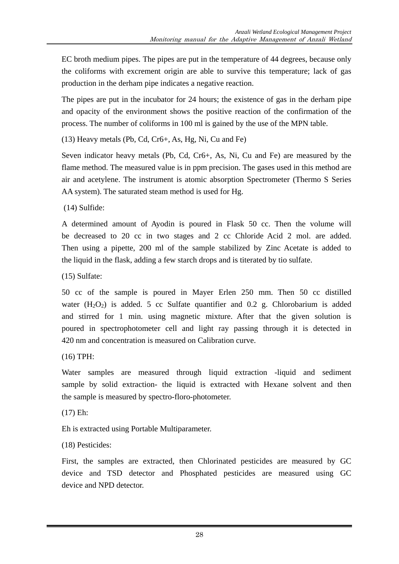EC broth medium pipes. The pipes are put in the temperature of 44 degrees, because only the coliforms with excrement origin are able to survive this temperature; lack of gas production in the derham pipe indicates a negative reaction.

The pipes are put in the incubator for 24 hours; the existence of gas in the derham pipe and opacity of the environment shows the positive reaction of the confirmation of the process. The number of coliforms in 100 ml is gained by the use of the MPN table.

(13) Heavy metals (Pb, Cd, Cr6+, As, Hg, Ni, Cu and Fe)

Seven indicator heavy metals (Pb, Cd, Cr6+, As, Ni, Cu and Fe) are measured by the flame method. The measured value is in ppm precision. The gases used in this method are air and acetylene. The instrument is atomic absorption Spectrometer (Thermo S Series AA system). The saturated steam method is used for Hg.

(14) Sulfide:

A determined amount of Ayodin is poured in Flask 50 cc. Then the volume will be decreased to 20 cc in two stages and 2 cc Chloride Acid 2 mol. are added. Then using a pipette, 200 ml of the sample stabilized by Zinc Acetate is added to the liquid in the flask, adding a few starch drops and is titerated by tio sulfate.

(15) Sulfate:

50 cc of the sample is poured in Mayer Erlen 250 mm. Then 50 cc distilled water  $(H_2O_2)$  is added. 5 cc Sulfate quantifier and 0.2 g. Chlorobarium is added and stirred for 1 min. using magnetic mixture. After that the given solution is poured in spectrophotometer cell and light ray passing through it is detected in 420 nm and concentration is measured on Calibration curve.

(16) TPH:

Water samples are measured through liquid extraction -liquid and sediment sample by solid extraction- the liquid is extracted with Hexane solvent and then the sample is measured by spectro-floro-photometer.

(17) Eh:

Eh is extracted using Portable Multiparameter.

(18) Pesticides:

First, the samples are extracted, then Chlorinated pesticides are measured by GC device and TSD detector and Phosphated pesticides are measured using GC device and NPD detector.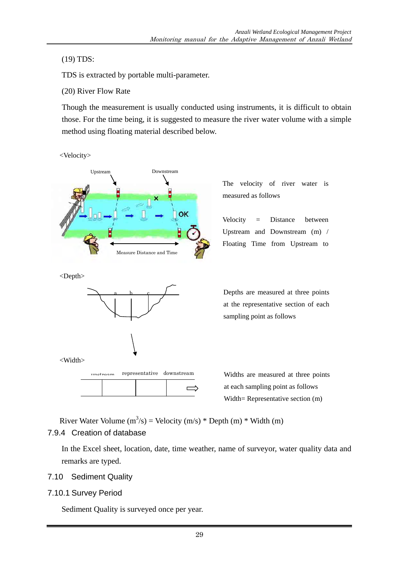(19) TDS:

TDS is extracted by portable multi-parameter.

(20) River Flow Rate

Though the measurement is usually conducted using instruments, it is difficult to obtain those. For the time being, it is suggested to measure the river water volume with a simple method using floating material described below.

<Velocity>



The velocity of river water is measured as follows

Velocity = Distance between Upstream and Downstream (m) / Floating Time from Upstream to

<Depth>

<Width>





Depths are measured at three points at the representative section of each sampling point as follows

at each sampling point as follows Width= Representative section (m)

River Water Volume  $(m^3/s)$  = Velocity  $(m/s)$  \* Depth  $(m)$  \* Width  $(m)$ 

# 7.9.4 Creation of database

In the Excel sheet, location, date, time weather, name of surveyor, water quality data and remarks are typed.

- 7.10 Sediment Quality
- 7.10.1 Survey Period

Sediment Quality is surveyed once per year.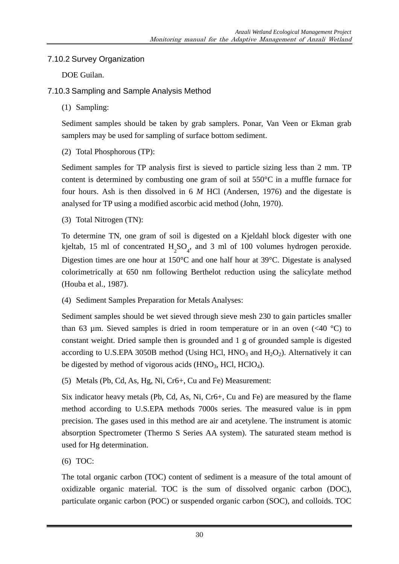# 7.10.2 Survey Organization

DOE Guilan.

# 7.10.3 Sampling and Sample Analysis Method

(1) Sampling:

Sediment samples should be taken by grab samplers. Ponar, Van Veen or Ekman grab samplers may be used for sampling of surface bottom sediment.

(2) Total Phosphorous (TP):

Sediment samples for TP analysis first is sieved to particle sizing less than 2 mm. TP content is determined by combusting one gram of soil at 550°C in a muffle furnace for four hours. Ash is then dissolved in 6 *M* HCl (Andersen, 1976) and the digestate is analysed for TP using a modified ascorbic acid method (John, 1970).

(3) Total Nitrogen (TN):

To determine TN, one gram of soil is digested on a Kjeldahl block digester with one kjeltab, 15 ml of concentrated  $H_2SO_4$ , and 3 ml of 100 volumes hydrogen peroxide. Digestion times are one hour at 150°C and one half hour at 39°C. Digestate is analysed colorimetrically at 650 nm following Berthelot reduction using the salicylate method (Houba et al., 1987).

(4) Sediment Samples Preparation for Metals Analyses:

Sediment samples should be wet sieved through sieve mesh 230 to gain particles smaller than 63 µm. Sieved samples is dried in room temperature or in an oven  $( $40^{\circ}$ C)$  to constant weight. Dried sample then is grounded and 1 g of grounded sample is digested according to U.S.EPA 3050B method (Using HCl,  $HNO<sub>3</sub>$  and  $H<sub>2</sub>O<sub>2</sub>$ ). Alternatively it can be digested by method of vigorous acids  $(HNO<sub>3</sub>, HCl, HClO<sub>4</sub>).$ 

(5) Metals (Pb, Cd, As, Hg, Ni, Cr6+, Cu and Fe) Measurement:

Six indicator heavy metals (Pb, Cd, As, Ni, Cr6+, Cu and Fe) are measured by the flame method according to U.S.EPA methods 7000s series. The measured value is in ppm precision. The gases used in this method are air and acetylene. The instrument is atomic absorption Spectrometer (Thermo S Series AA system). The saturated steam method is used for Hg determination.

(6) TOC:

The total organic carbon (TOC) content of sediment is a measure of the total amount of oxidizable organic material. TOC is the sum of dissolved organic carbon (DOC), particulate organic carbon (POC) or suspended organic carbon (SOC), and colloids. TOC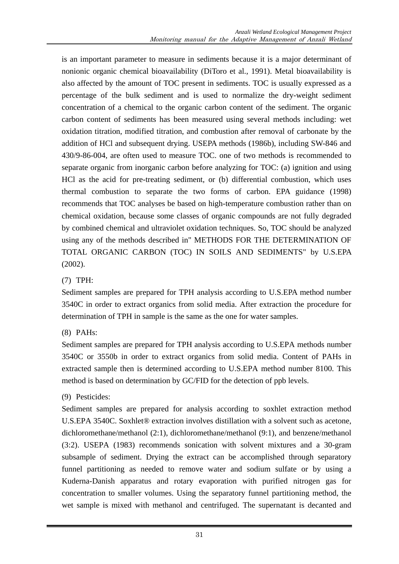is an important parameter to measure in sediments because it is a major determinant of nonionic organic chemical bioavailability (DiToro et al., 1991). Metal bioavailability is also affected by the amount of TOC present in sediments. TOC is usually expressed as a percentage of the bulk sediment and is used to normalize the dry-weight sediment concentration of a chemical to the organic carbon content of the sediment. The organic carbon content of sediments has been measured using several methods including: wet oxidation titration, modified titration, and combustion after removal of carbonate by the addition of HCl and subsequent drying. USEPA methods (1986b), including SW-846 and 430/9-86-004, are often used to measure TOC. one of two methods is recommended to separate organic from inorganic carbon before analyzing for TOC: (a) ignition and using HCl as the acid for pre-treating sediment, or (b) differential combustion, which uses thermal combustion to separate the two forms of carbon. EPA guidance (1998) recommends that TOC analyses be based on high-temperature combustion rather than on chemical oxidation, because some classes of organic compounds are not fully degraded by combined chemical and ultraviolet oxidation techniques. So, TOC should be analyzed using any of the methods described in" METHODS FOR THE DETERMINATION OF TOTAL ORGANIC CARBON (TOC) IN SOILS AND SEDIMENTS" by U.S.EPA (2002).

# (7) TPH:

Sediment samples are prepared for TPH analysis according to U.S.EPA method number 3540C in order to extract organics from solid media. After extraction the procedure for determination of TPH in sample is the same as the one for water samples.

# (8) PAHs:

Sediment samples are prepared for TPH analysis according to U.S.EPA methods number 3540C or 3550b in order to extract organics from solid media. Content of PAHs in extracted sample then is determined according to U.S.EPA method number 8100. This method is based on determination by GC/FID for the detection of ppb levels.

# (9) Pesticides:

Sediment samples are prepared for analysis according to soxhlet extraction method U.S.EPA 3540C. Soxhlet® extraction involves distillation with a solvent such as acetone, dichloromethane/methanol (2:1), dichloromethane/methanol (9:1), and benzene/methanol (3:2). USEPA (1983) recommends sonication with solvent mixtures and a 30-gram subsample of sediment. Drying the extract can be accomplished through separatory funnel partitioning as needed to remove water and sodium sulfate or by using a Kuderna-Danish apparatus and rotary evaporation with purified nitrogen gas for concentration to smaller volumes. Using the separatory funnel partitioning method, the wet sample is mixed with methanol and centrifuged. The supernatant is decanted and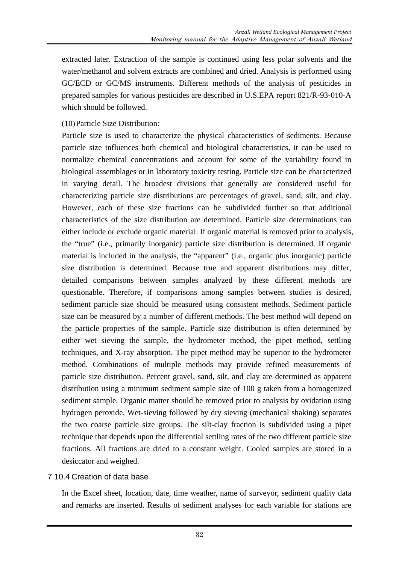extracted later. Extraction of the sample is continued using less polar solvents and the water/methanol and solvent extracts are combined and dried. Analysis is performed using GC/ECD or GC/MS instruments. Different methods of the analysis of pesticides in prepared samples for various pesticides are described in U.S.EPA report 821/R-93-010-A which should be followed.

# (10)Particle Size Distribution:

Particle size is used to characterize the physical characteristics of sediments. Because particle size influences both chemical and biological characteristics, it can be used to normalize chemical concentrations and account for some of the variability found in biological assemblages or in laboratory toxicity testing. Particle size can be characterized in varying detail. The broadest divisions that generally are considered useful for characterizing particle size distributions are percentages of gravel, sand, silt, and clay. However, each of these size fractions can be subdivided further so that additional characteristics of the size distribution are determined. Particle size determinations can either include or exclude organic material. If organic material is removed prior to analysis, the "true" (i.e., primarily inorganic) particle size distribution is determined. If organic material is included in the analysis, the "apparent" (i.e., organic plus inorganic) particle size distribution is determined. Because true and apparent distributions may differ, detailed comparisons between samples analyzed by these different methods are questionable. Therefore, if comparisons among samples between studies is desired, sediment particle size should be measured using consistent methods. Sediment particle size can be measured by a number of different methods. The best method will depend on the particle properties of the sample. Particle size distribution is often determined by either wet sieving the sample, the hydrometer method, the pipet method, settling techniques, and X-ray absorption. The pipet method may be superior to the hydrometer method. Combinations of multiple methods may provide refined measurements of particle size distribution. Percent gravel, sand, silt, and clay are determined as apparent distribution using a minimum sediment sample size of 100 g taken from a homogenized sediment sample. Organic matter should be removed prior to analysis by oxidation using hydrogen peroxide. Wet-sieving followed by dry sieving (mechanical shaking) separates the two coarse particle size groups. The silt-clay fraction is subdivided using a pipet technique that depends upon the differential settling rates of the two different particle size fractions. All fractions are dried to a constant weight. Cooled samples are stored in a desiccator and weighed.

# 7.10.4 Creation of data base

In the Excel sheet, location, date, time weather, name of surveyor, sediment quality data and remarks are inserted. Results of sediment analyses for each variable for stations are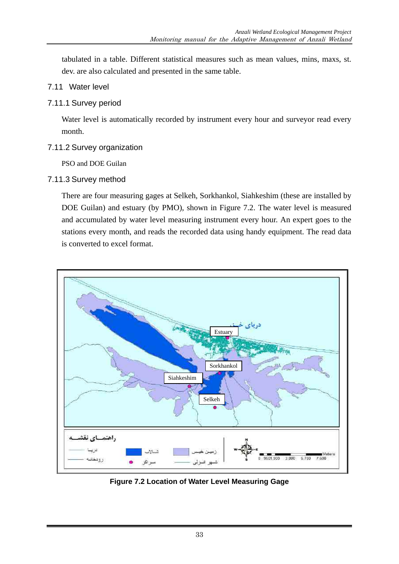tabulated in a table. Different statistical measures such as mean values, mins, maxs, st. dev. are also calculated and presented in the same table.

#### 7.11 Water level

#### 7.11.1 Survey period

Water level is automatically recorded by instrument every hour and surveyor read every month.

#### 7.11.2 Survey organization

PSO and DOE Guilan

# 7.11.3 Survey method

There are four measuring gages at Selkeh, Sorkhankol, Siahkeshim (these are installed by DOE Guilan) and estuary (by PMO), shown in Figure 7.2. The water level is measured and accumulated by water level measuring instrument every hour. An expert goes to the stations every month, and reads the recorded data using handy equipment. The read data is converted to excel format.



**Figure 7.2 Location of Water Level Measuring Gage**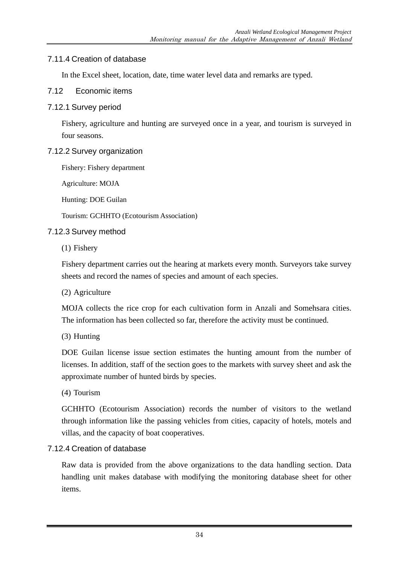#### 7.11.4 Creation of database

In the Excel sheet, location, date, time water level data and remarks are typed.

#### 7.12 Economic items

#### 7.12.1 Survey period

Fishery, agriculture and hunting are surveyed once in a year, and tourism is surveyed in four seasons.

#### 7.12.2 Survey organization

Fishery: Fishery department

Agriculture: MOJA

Hunting: DOE Guilan

Tourism: GCHHTO (Ecotourism Association)

#### 7.12.3 Survey method

(1) Fishery

Fishery department carries out the hearing at markets every month. Surveyors take survey sheets and record the names of species and amount of each species.

(2) Agriculture

MOJA collects the rice crop for each cultivation form in Anzali and Somehsara cities. The information has been collected so far, therefore the activity must be continued.

(3) Hunting

DOE Guilan license issue section estimates the hunting amount from the number of licenses. In addition, staff of the section goes to the markets with survey sheet and ask the approximate number of hunted birds by species.

(4) Tourism

GCHHTO (Ecotourism Association) records the number of visitors to the wetland through information like the passing vehicles from cities, capacity of hotels, motels and villas, and the capacity of boat cooperatives.

# 7.12.4 Creation of database

Raw data is provided from the above organizations to the data handling section. Data handling unit makes database with modifying the monitoring database sheet for other items.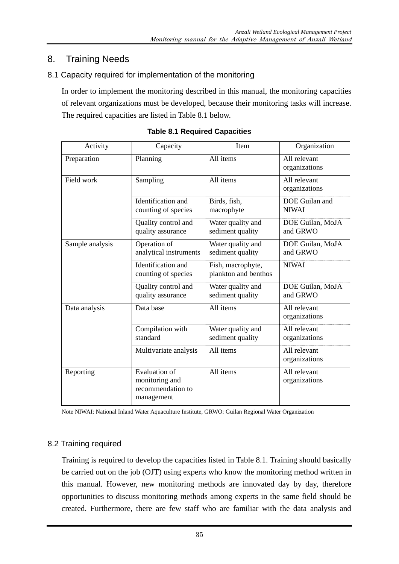# 8. Training Needs

# 8.1 Capacity required for implementation of the monitoring

In order to implement the monitoring described in this manual, the monitoring capacities of relevant organizations must be developed, because their monitoring tasks will increase. The required capacities are listed in Table 8.1 below.

| Activity        | Capacity                                                                  | Item                                      | Organization                   |
|-----------------|---------------------------------------------------------------------------|-------------------------------------------|--------------------------------|
| Preparation     | Planning                                                                  | All items                                 | All relevant<br>organizations  |
| Field work      | Sampling                                                                  | All items                                 | All relevant<br>organizations  |
|                 | Identification and<br>counting of species                                 | Birds, fish,<br>macrophyte                | DOE Guilan and<br><b>NIWAI</b> |
|                 | Quality control and<br>quality assurance                                  | Water quality and<br>sediment quality     | DOE Guilan, MoJA<br>and GRWO   |
| Sample analysis | Operation of<br>analytical instruments                                    | Water quality and<br>sediment quality     | DOE Guilan, MoJA<br>and GRWO   |
|                 | Identification and<br>counting of species                                 | Fish, macrophyte,<br>plankton and benthos | <b>NIWAI</b>                   |
|                 | Quality control and<br>quality assurance                                  | Water quality and<br>sediment quality     | DOE Guilan, MoJA<br>and GRWO   |
| Data analysis   | Data base                                                                 | All items                                 | All relevant<br>organizations  |
|                 | Compilation with<br>standard                                              | Water quality and<br>sediment quality     | All relevant<br>organizations  |
|                 | Multivariate analysis                                                     | All items                                 | All relevant<br>organizations  |
| Reporting       | <b>Evaluation of</b><br>monitoring and<br>recommendation to<br>management | All items                                 | All relevant<br>organizations  |

**Table 8.1 Required Capacities** 

Note NIWAI: National Inland Water Aquaculture Institute, GRWO: Guilan Regional Water Organization

# 8.2 Training required

Training is required to develop the capacities listed in Table 8.1. Training should basically be carried out on the job (OJT) using experts who know the monitoring method written in this manual. However, new monitoring methods are innovated day by day, therefore opportunities to discuss monitoring methods among experts in the same field should be created. Furthermore, there are few staff who are familiar with the data analysis and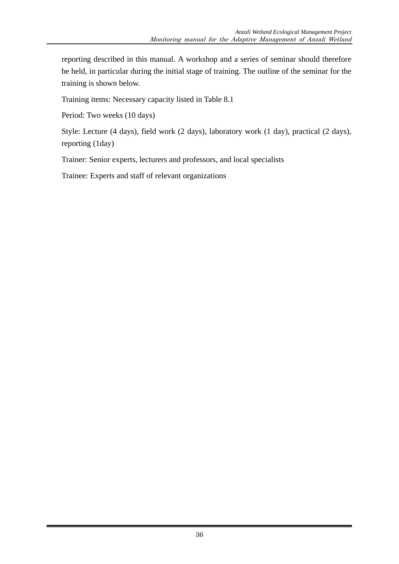reporting described in this manual. A workshop and a series of seminar should therefore be held, in particular during the initial stage of training. The outline of the seminar for the training is shown below.

Training items: Necessary capacity listed in Table 8.1

Period: Two weeks (10 days)

Style: Lecture (4 days), field work (2 days), laboratory work (1 day), practical (2 days), reporting (1day)

Trainer: Senior experts, lecturers and professors, and local specialists

Trainee: Experts and staff of relevant organizations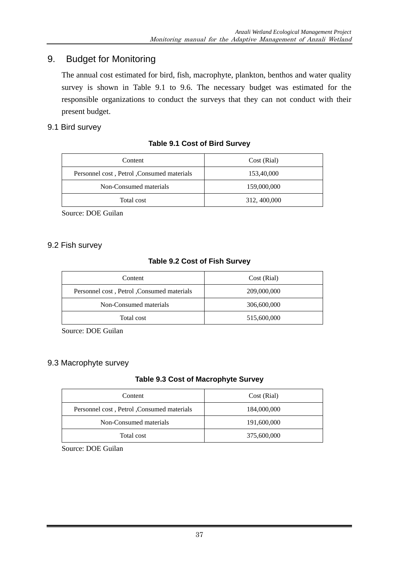# 9. Budget for Monitoring

The annual cost estimated for bird, fish, macrophyte, plankton, benthos and water quality survey is shown in Table 9.1 to 9.6. The necessary budget was estimated for the responsible organizations to conduct the surveys that they can not conduct with their present budget.

# 9.1 Bird survey

# **Table 9.1 Cost of Bird Survey**

| Content                                    | Cost (Rial)  |
|--------------------------------------------|--------------|
| Personnel cost, Petrol, Consumed materials | 153,40,000   |
| Non-Consumed materials                     | 159,000,000  |
| Total cost                                 | 312, 400,000 |

Source: DOE Guilan

#### 9.2 Fish survey

# **Table 9.2 Cost of Fish Survey**

| Content                                    | Cost (Rial) |
|--------------------------------------------|-------------|
| Personnel cost, Petrol, Consumed materials | 209,000,000 |
| Non-Consumed materials                     | 306,600,000 |
| Total cost                                 | 515,600,000 |

Source: DOE Guilan

# 9.3 Macrophyte survey

# **Table 9.3 Cost of Macrophyte Survey**

| Content                                    | Cost (Rial) |
|--------------------------------------------|-------------|
| Personnel cost, Petrol, Consumed materials | 184,000,000 |
| Non-Consumed materials                     | 191,600,000 |
| Total cost                                 | 375,600,000 |

Source: DOE Guilan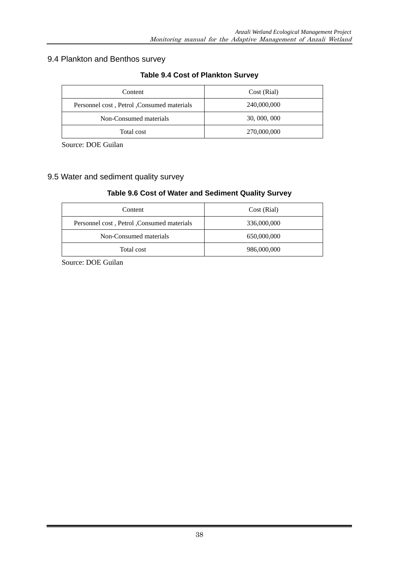# 9.4 Plankton and Benthos survey

| Content                                    | Cost (Rial)  |
|--------------------------------------------|--------------|
| Personnel cost, Petrol, Consumed materials | 240,000,000  |
| Non-Consumed materials                     | 30, 000, 000 |
| Total cost                                 | 270,000,000  |

# **Table 9.4 Cost of Plankton Survey**

Source: DOE Guilan

# 9.5 Water and sediment quality survey

#### **Table 9.6 Cost of Water and Sediment Quality Survey**

| Content                                    | Cost (Rial) |
|--------------------------------------------|-------------|
| Personnel cost, Petrol, Consumed materials | 336,000,000 |
| Non-Consumed materials                     | 650,000,000 |
| Total cost                                 | 986,000,000 |

Source: DOE Guilan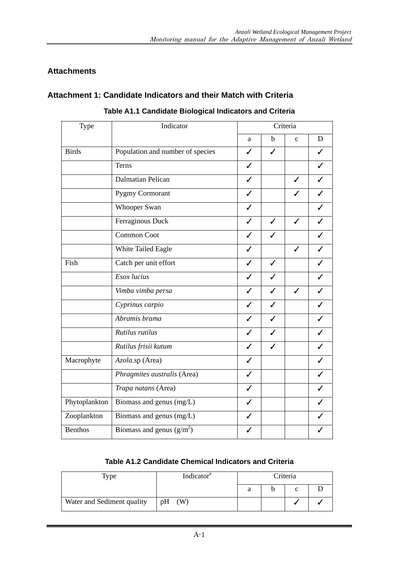# **Attachments**

# **Attachment 1: Candidate Indicators and their Match with Criteria**

| Type           | Indicator                        |              |                          | Criteria     |   |
|----------------|----------------------------------|--------------|--------------------------|--------------|---|
|                |                                  | a            | $\mathbf b$              | $\mathbf{C}$ | D |
| <b>Birds</b>   | Population and number of species | $\checkmark$ | $\checkmark$             |              |   |
|                | Terns                            | $\checkmark$ |                          |              |   |
|                | Dalmatian Pelican                | ✓            |                          | ✓            |   |
|                | Pygmy Cormorant                  | ✓            |                          |              |   |
|                | <b>Whooper Swan</b>              | ✓            |                          |              |   |
|                | Ferraginous Duck                 | $\checkmark$ | $\checkmark$             | $\checkmark$ |   |
|                | <b>Common Coot</b>               | ✓            |                          |              |   |
|                | White Tailed Eagle               | ✓            |                          | $\checkmark$ |   |
| Fish           | Catch per unit effort            | ✓            | ✓                        |              |   |
|                | Esox lucius                      | $\checkmark$ | $\overline{\mathscr{S}}$ |              |   |
|                | Vimba vimba persa                | ✓            | ✓                        | ✓            |   |
|                | Cyprinus carpio                  |              |                          |              |   |
|                | Abramis brama                    | ✓            | ✓                        |              |   |
|                | Rutilus rutilus                  | ✓            | ✓                        |              |   |
|                | Rutilus frisii kutum             | J            | ℐ                        |              |   |
| Macrophyte     | Azola.sp (Area)                  | ✓            |                          |              |   |
|                | Phragmites australis (Area)      | $\checkmark$ |                          |              |   |
|                | Trapa natans (Area)              | ✓            |                          |              |   |
| Phytoplankton  | Biomass and genus (mg/L)         | $\checkmark$ |                          |              |   |
| Zooplankton    | Biomass and genus (mg/L)         | ✓            |                          |              |   |
| <b>Benthos</b> | Biomass and genus $(g/m^2)$      | ✓            |                          |              |   |

**Table A1.1 Candidate Biological Indicators and Criteria** 

# **Table A1.2 Candidate Chemical Indicators and Criteria**

| Type                       |    | Indicator <sup>a</sup> | Criteria |  |  |  |  |
|----------------------------|----|------------------------|----------|--|--|--|--|
|                            |    |                        |          |  |  |  |  |
| Water and Sediment quality | pH | (W)                    |          |  |  |  |  |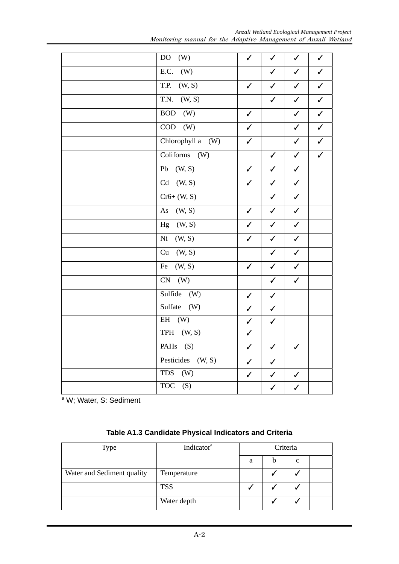*Anzali Wetland Ecological Management Project*  Monitoring manual for the Adaptive Management of Anzali Wetland

| DO <sub>1</sub><br>(W)          | $\checkmark$ | $\checkmark$ | $\checkmark$ | $\checkmark$            |
|---------------------------------|--------------|--------------|--------------|-------------------------|
| E.C.<br>$\overline{W}$          |              | $\checkmark$ | $\sqrt{}$    | $\overline{\checkmark}$ |
| (W, S)<br>T.P.                  | $\checkmark$ | $\checkmark$ | $\checkmark$ | $\sqrt{ }$              |
| T.N.<br>(W, S)                  |              | $\checkmark$ | $\checkmark$ | $\overline{\checkmark}$ |
| BOD (W)                         | $\checkmark$ |              | $\checkmark$ | $\checkmark$            |
| $COD$ (W)                       | $\checkmark$ |              | $\checkmark$ | $\sqrt{}$               |
| Chlorophyll a (W)               | $\checkmark$ |              | $\checkmark$ | $\checkmark$            |
| Coliforms $(W)$                 |              | $\checkmark$ | $\checkmark$ | $\checkmark$            |
| $Pb$ (W, S)                     | $\checkmark$ | $\checkmark$ | $\checkmark$ |                         |
| $Cd$ $(W, S)$                   | $\checkmark$ | $\checkmark$ | $\checkmark$ |                         |
| $\overline{\text{Cr6+ (W, S)}}$ |              | $\checkmark$ | $\checkmark$ |                         |
| (W, S)<br>As                    | $\checkmark$ | ✓            | ✓            |                         |
| (W, S)<br>Hg                    | $\checkmark$ | $\checkmark$ | $\checkmark$ |                         |
| (W, S)<br>Ni                    | $\checkmark$ | $\checkmark$ | $\checkmark$ |                         |
| (W, S)<br>Cu                    |              | $\checkmark$ | $\checkmark$ |                         |
| $\overline{(W, S)}$<br>Fe       | $\checkmark$ | $\checkmark$ | $\checkmark$ |                         |
| $\overline{\text{CN}^-(W)}$     |              | $\checkmark$ | $\checkmark$ |                         |
| Sulfide $(W)$                   | $\checkmark$ | $\checkmark$ |              |                         |
| Sulfate $(W)$                   | $\checkmark$ | $\checkmark$ |              |                         |
| $EH$ (W)                        | $\checkmark$ | $\checkmark$ |              |                         |
| TPH (W, S)                      | $\checkmark$ |              |              |                         |
| PAHs $(S)$                      | $\checkmark$ | $\checkmark$ | $\checkmark$ |                         |
| Pesticides $(W, S)$             | $\checkmark$ | $\checkmark$ |              |                         |
| <b>TDS</b><br>(W)               | $\checkmark$ | $\checkmark$ | $\checkmark$ |                         |
| <b>TOC</b><br>(S)               |              | $\checkmark$ | $\checkmark$ |                         |

<sup>a</sup> W; Water, S: Sediment

| Table A1.3 Candidate Physical Indicators and Criteria |  |
|-------------------------------------------------------|--|
|-------------------------------------------------------|--|

| Type                       | Indicator <sup>a</sup> | Criteria |  |   |  |  |  |
|----------------------------|------------------------|----------|--|---|--|--|--|
|                            |                        | a        |  | C |  |  |  |
| Water and Sediment quality | Temperature            |          |  |   |  |  |  |
|                            | <b>TSS</b>             |          |  |   |  |  |  |
|                            | Water depth            |          |  |   |  |  |  |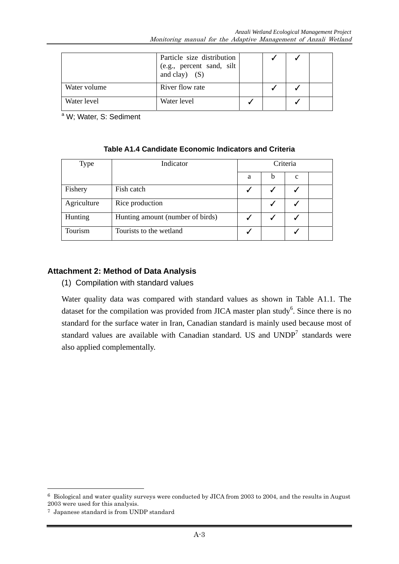|              | Particle size distribution<br>(e.g., percent sand, silt<br>and clay) $(S)$ |  |  |
|--------------|----------------------------------------------------------------------------|--|--|
| Water volume | River flow rate                                                            |  |  |
| Water level  | Water level                                                                |  |  |

<sup>a</sup> W; Water, S: Sediment

| <b>Type</b> | Indicator                        | Criteria |   |              |  |  |  |  |
|-------------|----------------------------------|----------|---|--------------|--|--|--|--|
|             |                                  | a        | b | $\mathbf{c}$ |  |  |  |  |
| Fishery     | Fish catch                       |          |   |              |  |  |  |  |
| Agriculture | Rice production                  |          |   |              |  |  |  |  |
| Hunting     | Hunting amount (number of birds) |          |   |              |  |  |  |  |
| Tourism     | Tourists to the wetland          |          |   |              |  |  |  |  |

# **Table A1.4 Candidate Economic Indicators and Criteria**

#### **Attachment 2: Method of Data Analysis**

(1) Compilation with standard values

Water quality data was compared with standard values as shown in Table A1.1. The dataset for the compilation was provided from JICA master plan study<sup>6</sup>. Since there is no standard for the surface water in Iran, Canadian standard is mainly used because most of standard values are available with Canadian standard. US and  $\text{UNDP}^7$  standards were also applied complementally.

-

<sup>6</sup> Biological and water quality surveys were conducted by JICA from 2003 to 2004, and the results in August 2003 were used for this analysis.

<sup>7</sup> Japanese standard is from UNDP standard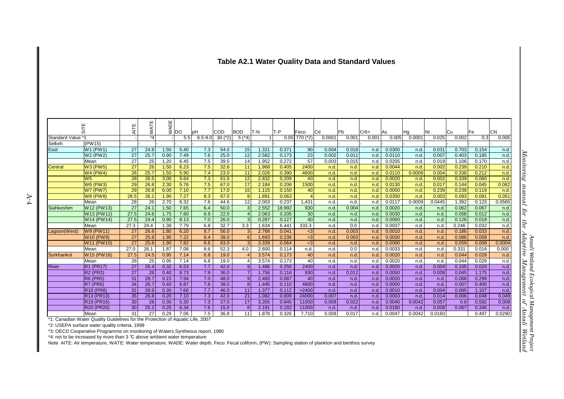#### **Table A2.1 Water Quality Data and Standard Values**

|                             | 듦                                                                              | AITE                  | WATE<br>$*_{4}$ | <b>WADE</b>  | <b>DO</b>    | pH                      | <b>COD</b>        | <b>BOD</b>            | T-N            | lT-P           | Feco            | <b>Cd</b>     | <b>Pb</b>     | $Cr6+$       | As               | Ha             | INI             | Cu           | <b>Fe</b>      | <b>CN</b>      |
|-----------------------------|--------------------------------------------------------------------------------|-----------------------|-----------------|--------------|--------------|-------------------------|-------------------|-----------------------|----------------|----------------|-----------------|---------------|---------------|--------------|------------------|----------------|-----------------|--------------|----------------|----------------|
| Standard Value *1<br>Selkeh | (PW15)                                                                         |                       |                 |              | 5.5          | $6.5 - 9.0$             | $30$ ( $*2$ )     | $5^{*4}$              |                |                | $0.05$ 770 (*2) | 0.0001        | 0.001         | 0.001        | 0.005            | 0.0001         | 0.025           | 0.002        | 0.3            | 0.005          |
| East                        | W1 (PW1)                                                                       | 27                    | 24.8            | 1.50         | 5.40         | 7.3                     | 54.0              | 15                    | 1.321          | 0.371          | 90              | 0.004         | 0.018         | n.d.         | 0.0300           | n.d.           | 0.031           | 0.703        | 0.154          | n.d            |
|                             | W2 (PW2)                                                                       | 27                    | 25.7            | 0.90         | 7.49         | 7.6                     | 25.0              | $\overline{12}$       | 2.582          | 0.173          | 23              | 0.002         | 0.011         | n.d.         | 0.0110           | n.d.           | 0.007           | 0.403        | 0.185          | n d            |
|                             | Mean                                                                           | 27                    | 25              | 1.20         | 6.45         | 7.5                     | 39.5              | 14                    | 1.952          | 0.272          | 57              | 0.003         | 0.015         | n.d.         | 0.0205           | n.d.           | 0.019           | 1.106        | 0.170          | n.d.           |
| Central                     | <b>W3 (PW5)</b>                                                                | 27                    | 26              | 1.50         | 6.23         | 7.5                     | 32.6              | 11                    | 1.968          | 0.405          | 2400            | n.d.          | n.d.          | n.d.         | 0.0044           | n.d.           | 0.002           | 0.239        | 0.210          | n.d.           |
|                             | W <sub>4</sub> (PW <sub>4</sub> )                                              | 26                    | 25.7            | 1.50         | 5.90         | 7.4                     | 23.0              | 11                    | 2.026          | 0.390          | 4600            | n.d.          | n.d.          | n.d.         | 0.0110           | 0.0009         | 0.004           | 0.338        | 0.212          | n.d.           |
|                             | W <sub>5</sub>                                                                 | 28                    | 26.5            | 3.00         | 5.64         | 7.3                     | 61.0              | 12                    | 2.832          | 0.209          | 40              | n.d.          | n.d.          | n.d.         | 0.0020           | n.d.           | 0.002           | 0.339        | 0.060          | n.d.           |
|                             | <b>W6 (PW3)</b>                                                                | 29                    | 26.8            | 2.30         | 5.76         | 7.5                     | 67.0              | 17                    | 2.184          | 0.206          | 1500            | n.d.          | n.d.          | n.d.         | 0.0130           | n.d.           | 0.017           | 0.144        | 0.045          | 0.062          |
|                             | W7 (PW7)                                                                       | 29                    | 26.8            | 6.00         | 7.10         | 7.7                     | 17.0              | 15                    | 1.115          | 0.150          | 40              | n.d.          | n.d.          | n.d.         | 0.0050           | n.d.           | 0.239           | 0.239        | 0.119          | n.d.           |
|                             | <b>W8 (PW8)</b>                                                                | 26.5                  | 26.1            | 1.90         | 7.27         | 8.3                     | 67.0              | 8                     | 1.891          | 0.063          | $\overline{4}$  | n.d.          | n.d.          | n.d.         | 0.0350           | n.d.           | 0.003           | 0.093        | 0.091          | 0.051          |
|                             | Mean                                                                           | 28                    | 26              | 2.70         | 6.32         | $\overline{7.6}$        | 44.6              | 12                    | 2.003          | 0.237          | 1,431           | n.d.          | n.d.          | n.d.         | 0.0117           | 0.0009         | 0.0445          | 1.392        | 0.123          | 0.0565         |
| Siahkeshim                  | W12 (PW13)                                                                     | 27                    | 24.1            | 1.50         | 7.65         | 6.4                     | 50.0              | $\mathbf{3}$          | 2.552          | 18.992         | 930             | n.d.          | 0.004         | n.d.         | 0.0020           | n.d.           | n.d.            | 0.062        | 0.067          | n.d.           |
|                             | W13 (PW12)                                                                     | 27.5                  | 24.6            | 1.75         | 7.60         | 6.9                     | 22.0              | $\boldsymbol{\Delta}$ | 2.063          | 0.205          | 30 <sup>1</sup> | n.d.          | n.d.          | n.d.         | 0.0030           | n.d.           | n.d.            | 0.058        | 0.012          | n.d.           |
|                             | W14 (PW14)                                                                     | 27.5                  | 24.4            | 0.90         | 8.13         | 7.0                     | $\overline{26.0}$ | $\omega$              | 0.287          | 0.127          | 40              | n.d.          | n.d.          | n.d.         | 0.0060           | n.d.           | n.d.            | 0.126        | 0.018          | n.d.           |
|                             | Mean                                                                           | 27.3                  | 24.4            | 1.38         | 7.79         | 6.8                     | 32.7              | 3.3                   | 1.634          | 6.441          | 333.3           | n.d.          | 0.0           | n.d.         | 0.0037           | n.d.           | n.d             | 0.246        | 0.032          | n.d.           |
| Lagoon(West)                | W9 (PW11)                                                                      | 27                    | 26.6            | 1.80         | 6.20         | 8.7                     | 56.0              | 3                     | 2.768          | 0.041          | $3$             | n.d.          | 0.003         | n.d.         | 0.0010           | n.d.           | n.d.            | 0.186        | 0.033          | n.d.           |
|                             | <b>W10 (PW9)</b>                                                               | 27                    | 25.8            | 1.90         | 7.22         | 8.4                     | 38.0              | 6                     | 1.693          | 0.236          | $\sqrt{3}$      | n.d.          | 0.003         | n.d.         | 0.0030           | n.d.           | n.d.            | 0.086        | 0.008          | n.d            |
|                             | W11 (PW10)                                                                     | 27                    | 25.8            | 1.90         | 7.82         | 8.6                     | 63.0              | $\overline{3}$        | 3.339          | 0.064          | $3$             | n.d.          | n.d.          | n.d.         | 0.0060           | n.d.           | n.d.            | 0.059        | 0.008          | 0.0004         |
|                             | Mean                                                                           | 27.0                  | 26.1            | 1.87         | 7.08         | 8.6                     | 52.3              | 4.0                   | 2.600          | 0.114          | n.d.            | n.d.          | 0.0           | n.d.         | 0.0033           | n.d.           | n.d             | 0.331        | 0.016          | 0.000          |
| Sorkhankol                  | W <sub>15</sub> (PW <sub>16</sub> )                                            | 27.5                  | 24.5            | 0.95         | 7.14         | 6.8                     | 19.0              |                       | 3.574          | 0.173          | 40              | n.d.          | n.d.          | n.d.         | 0.0020           | n.d.           | n.d.            | 0.044        | 0.028          | n.d.           |
|                             | Mean                                                                           | 28                    | 25              | 0.95         | 7.14         | 6.8                     | 19.0              |                       | 3.574          | 0.173          | 40              | n.d.          | n.d.          | n.d.         | 0.0020           | n.d.           | n.d.            | 0.044        | 0.028          | n d            |
| <b>River</b>                | <b>R1 (PR17)</b>                                                               | 27                    | 26.4            | 0.32         | 6.53         | 7.7                     | 42.0              | 9                     | 1.486          | 0.250          | 2400            | n.d.          | n.d.          | n.d.         | 0.0020           | n.d.           | 0.004           | 0.105        | 0.010          | n.d.           |
|                             | <b>R2 (PR2)</b>                                                                | 27                    | 26              | 0.40         | 8.73         | 7.9                     | 36.0              | $\overline{7}$        | 1.756          | 0.116          | 930             | n.d.          | 0.012         | n.d.         | 0.0050           | n.d.           | 0.009           | 0.045        | 1.175          | n.d.           |
|                             | <b>R6 (PR5)</b>                                                                | 31                    | 28.7            | 0.15         | 7.94         | 7.0                     | 48.0              | 9                     | 2.483          | 0.087          | 40              | n.d.          | n.d           | n.d.         | 0.0020           | n.d.           | n.d.            | 0.068        | 0.299          | n.d.           |
|                             | $R7$ (PR <sub>6</sub> )                                                        | 34                    | 26.7            | 0.40         | 6.87         | 7.8                     | 38.0              | 8                     | 1.445          | 0.110          | 4600            | n.d.          | n.d.          | n.d.         | 0.0050           | n.d.           | n.d.            | 0.007        | 0.400          | n.d.           |
|                             | <b>R10 (PR8)</b>                                                               | 31                    | 28.6            | 0.30         | 7.66         | 7.7                     | 46.0              | 11                    | 1.377          | 0.112          | >2400           | n.d.          | n.d.          | n.d.         | 0.0010           | n.d.           | 0.004           | 0.085        | 1.107          | n.d.           |
|                             | R <sub>13</sub> (PR <sub>13</sub> )                                            | 35                    | 26.8            | 0.20         | 7.10         | 7.3                     | 42.0              | 21<br>17              | 1.082          | 0.809          | 24000           | 0.007         | n.d.          | n.d.         | 0.0003           | n.d.           | 0.014           | 0.006        | 0.048          | 0.049          |
|                             | R <sub>19</sub> (PR <sub>16</sub> )                                            | 30                    | 26              | 0.30         | 5.30         | 7.3<br>$\overline{7.6}$ | 27.0<br>15.0      | 6                     | 3.205          | 0.945<br>0.182 | 11000           | 0.008         | 0.022         | n.d.         | 0.0040<br>0.0180 | 0.0042         | 0.057           | 0.9<br>0.067 | 0.592          | 0.009          |
|                             | R20 (PR20)<br>Mean                                                             | 30 <sup>°</sup><br>31 | 25.2<br>27      | 0.25<br>0.29 | 6.34<br>7.06 | 7.5                     | 36.8              | 11                    | 2.191<br>1.878 |                | 11000<br>7,710  | n.d.<br>0.008 | n.d.<br>0.017 | n.d.<br>n.d. | 0.0047           | n.d.<br>0.0042 | 0.008<br>0.0160 |              | 0.346<br>0.497 | n.d.<br>0.0290 |
|                             | *1: Canadian Water Quality Guidelines for the Protection of Aquatic Life, 2007 |                       |                 |              |              |                         |                   |                       |                | 0.326          |                 |               |               |              |                  |                |                 |              |                |                |
|                             | *2: USEPA surface water quality criteria, 1999                                 |                       |                 |              |              |                         |                   |                       |                |                |                 |               |               |              |                  |                |                 |              |                |                |
|                             | *3: OECD Cooperative Programme on monitoring of Waters, Synthesus report, 1980 |                       |                 |              |              |                         |                   |                       |                |                |                 |               |               |              |                  |                |                 |              |                |                |
|                             | *4: not to be increased by more than 3 °C above ambient water temperature      |                       |                 |              |              |                         |                   |                       |                |                |                 |               |               |              |                  |                |                 |              |                |                |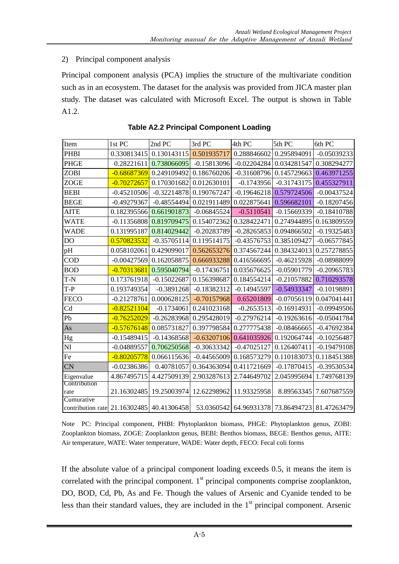#### 2) Principal component analysis

Principal component analysis (PCA) implies the structure of the multivariate condition such as in an ecosystem. The dataset for the analysis was provided from JICA master plan study. The dataset was calculated with Microsoft Excel. The output is shown in Table A1.2.

| Item                                                    | 1st PC        | 2nd PC        | 3rd PC        | 4th PC        | 5th PC                                         | 6th PC        |
|---------------------------------------------------------|---------------|---------------|---------------|---------------|------------------------------------------------|---------------|
| <b>PHBI</b>                                             | 0.330813415   | 0.130143115   | 0.501935717   | 0.288846602   | 0.295894091                                    | $-0.05039233$ |
| <b>PHGE</b>                                             | 0.28221611    | 0.738066095   | $-0.15813096$ | $-0.02204284$ | 0.034281547                                    | 0.308294277   |
| <b>ZOBI</b>                                             | $-0.68687369$ | 0.249109492   | 0.186760206   | $-0.31608796$ | 0.145729663                                    | 0.463971255   |
| <b>ZOGE</b>                                             | $-0.70272657$ | 0.170301682   | 0.012630101   | $-0.1743956$  | $-0.31743175$                                  | 0.455327911   |
| <b>BEBI</b>                                             | $-0.45210506$ | $-0.32214878$ | 0.190767247   | $-0.19646218$ | 0.579724506                                    | $-0.00437524$ |
| <b>BEGE</b>                                             | $-0.49279367$ | $-0.48554494$ | 0.021911489   | 0.022875641   | 0.596682101                                    | $-0.18207456$ |
| <b>AITE</b>                                             | 0.182395566   | 0.661901873   | $-0.06845524$ | $-0.5110541$  | $-0.15669339$                                  | $-0.18410788$ |
| <b>WATE</b>                                             | $-0.11356808$ | 0.819709475   | 0.154072362   | 0.328422471   | 0.274944895                                    | 0.163809559   |
| <b>WADE</b>                                             | 0.131995187   | 0.814029442   | $-0.20283789$ | $-0.28265853$ | 0.094866502                                    | $-0.19325483$ |
| DO                                                      | 0.570823532   | $-0.35705114$ | 0.119514175   | $-0.43576753$ | 0.385109427                                    | $-0.06577845$ |
| pH                                                      | 0.058102061   | 0.429099017   | 0.562653276   | 0.374567244   | 0.384324013                                    | 0.257278855   |
| <b>COD</b>                                              | $-0.00427569$ | 0.162058875   | 0.666933288   | 0.416566695   | $-0.46215928$                                  | -0.08988099   |
| <b>BOD</b>                                              | $-0.70313681$ | 0.595040794   | $-0.17436751$ | 0.035676625   | $-0.05901779$                                  | $-0.20965783$ |
| T-N                                                     | 0.173761918   | $-0.15022687$ | 0.156398687   | 0.184554214   | $-0.21057882$                                  | 0.710293578   |
| $T-P$                                                   | 0.193749354   | $-0.3891268$  | $-0.18382312$ | $-0.14945597$ | $-0.54933347$                                  | $-0.10198891$ |
| <b>FECO</b>                                             | $-0.21278761$ | 0.000628125   | $-0.70157968$ | 0.65201809    | $-0.07056119$                                  | 0.047041441   |
| C <sub>d</sub>                                          | $-0.82521104$ | $-0.1734061$  | 0.241023168   | $-0.2653513$  | $-0.16914931$                                  | $-0.09949506$ |
| Pb                                                      | $-0.76252029$ | $-0.26283968$ | 0.295428019   | $-0.27976214$ | $-0.19263616$                                  | $-0.05041784$ |
| As                                                      | $-0.57676148$ | 0.085731827   | 0.397798584   | 0.277775438   | $-0.08466665$                                  | $-0.47692384$ |
| Hg                                                      | $-0.15489415$ | $-0.14368568$ | $-0.63207106$ | 0.641035926   | 0.192064744                                    | $-0.10256487$ |
| NI                                                      | $-0.04889557$ | 0.706250568   | $-0.30633342$ | $-0.47025127$ | 0.126407411                                    | $-0.19479108$ |
| Fe                                                      | $-0.80205778$ | 0.066115636   | $-0.44565009$ | 0.168573279   | 0.110183073                                    | 0.118451388   |
| <b>CN</b>                                               | $-0.02386386$ | 0.40781057    | 0.364363094   | 0.411721669   | $-0.17870415$                                  | $-0.39530534$ |
| Eigenvalue                                              | 4.867495715   | 4.427509139   | 2.903287613   | 2.744649702   | 2.045995694                                    | 1.749768139   |
| Contribution                                            |               |               |               |               |                                                |               |
| rate                                                    | 21.16302485   | 19.25003974   | 12.62298962   | 11.93325958   | 8.89563345                                     | 7.607687559   |
| Cumurative<br>contribution rate 21.16302485 40.41306458 |               |               |               |               | 53.0360542 64.96931378 73.86494723 81.47263479 |               |
|                                                         |               |               |               |               |                                                |               |

**Table A2.2 Principal Component Loading** 

Note PC: Principal component, PHBI: Phytoplankton biomass, PHGE: Phytoplankton genus, ZOBI: Zooplankton biomass, ZOGE: Zooplankton genus, BEBI: Benthos biomass, BEGE: Benthos genus, AITE: Air temperature, WATE: Water temperature, WADE: Water depth, FECO: Fecal coli forms

If the absolute value of a principal component loading exceeds 0.5, it means the item is correlated with the principal component.  $1<sup>st</sup>$  principal components comprise zooplankton, DO, BOD, Cd, Pb, As and Fe. Though the values of Arsenic and Cyanide tended to be less than their standard values, they are included in the  $1<sup>st</sup>$  principal component. Arsenic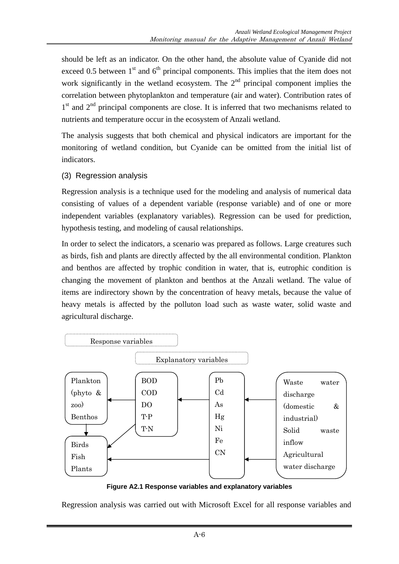should be left as an indicator. On the other hand, the absolute value of Cyanide did not exceed 0.5 between  $1<sup>st</sup>$  and  $6<sup>th</sup>$  principal components. This implies that the item does not work significantly in the wetland ecosystem. The  $2<sup>nd</sup>$  principal component implies the correlation between phytoplankton and temperature (air and water). Contribution rates of  $1<sup>st</sup>$  and  $2<sup>nd</sup>$  principal components are close. It is inferred that two mechanisms related to nutrients and temperature occur in the ecosystem of Anzali wetland.

The analysis suggests that both chemical and physical indicators are important for the monitoring of wetland condition, but Cyanide can be omitted from the initial list of indicators.

(3) Regression analysis

Regression analysis is a technique used for the modeling and analysis of numerical data consisting of values of a dependent variable (response variable) and of one or more independent variables (explanatory variables). Regression can be used for prediction, hypothesis testing, and modeling of causal relationships.

In order to select the indicators, a scenario was prepared as follows. Large creatures such as birds, fish and plants are directly affected by the all environmental condition. Plankton and benthos are affected by trophic condition in water, that is, eutrophic condition is changing the movement of plankton and benthos at the Anzali wetland. The value of items are indirectory shown by the concentration of heavy metals, because the value of heavy metals is affected by the polluton load such as waste water, solid waste and agricultural discharge.



**Figure A2.1 Response variables and explanatory variables** 

Regression analysis was carried out with Microsoft Excel for all response variables and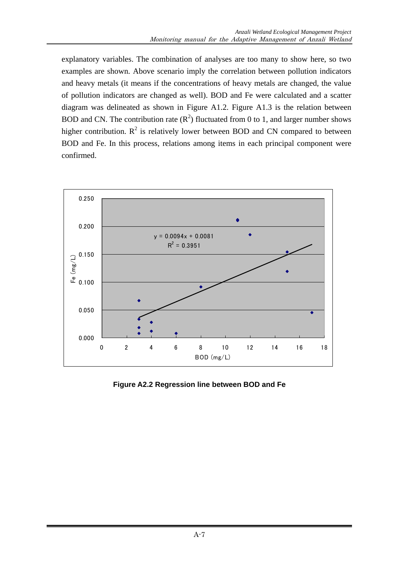explanatory variables. The combination of analyses are too many to show here, so two examples are shown. Above scenario imply the correlation between pollution indicators and heavy metals (it means if the concentrations of heavy metals are changed, the value of pollution indicators are changed as well). BOD and Fe were calculated and a scatter diagram was delineated as shown in Figure A1.2. Figure A1.3 is the relation between BOD and CN. The contribution rate  $(R^2)$  fluctuated from 0 to 1, and larger number shows higher contribution.  $R^2$  is relatively lower between BOD and CN compared to between BOD and Fe. In this process, relations among items in each principal component were confirmed.



**Figure A2.2 Regression line between BOD and Fe**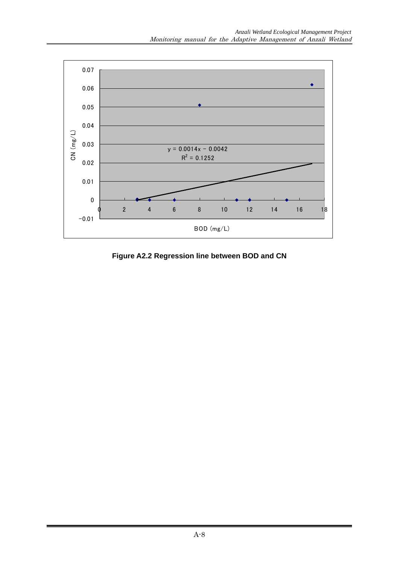

**Figure A2.2 Regression line between BOD and CN**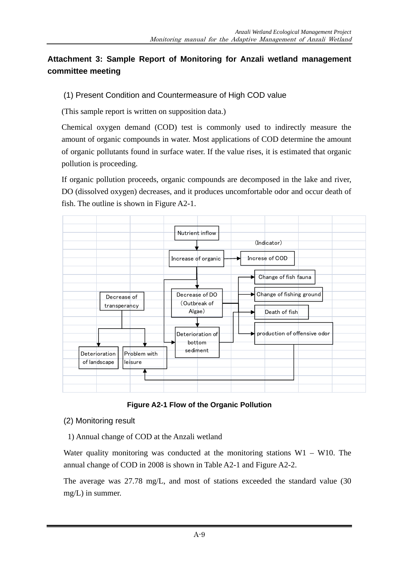# **Attachment 3: Sample Report of Monitoring for Anzali wetland management committee meeting**

# (1) Present Condition and Countermeasure of High COD value

(This sample report is written on supposition data.)

Chemical oxygen demand (COD) test is commonly used to indirectly measure the amount of organic compounds in water. Most applications of COD determine the amount of organic pollutants found in surface water. If the value rises, it is estimated that organic pollution is proceeding.

If organic pollution proceeds, organic compounds are decomposed in the lake and river, DO (dissolved oxygen) decreases, and it produces uncomfortable odor and occur death of fish. The outline is shown in Figure A2-1.



**Figure A2-1 Flow of the Organic Pollution** 

# (2) Monitoring result

1) Annual change of COD at the Anzali wetland

Water quality monitoring was conducted at the monitoring stations  $W1 - W10$ . The annual change of COD in 2008 is shown in Table A2-1 and Figure A2-2.

The average was 27.78 mg/L, and most of stations exceeded the standard value (30 mg/L) in summer.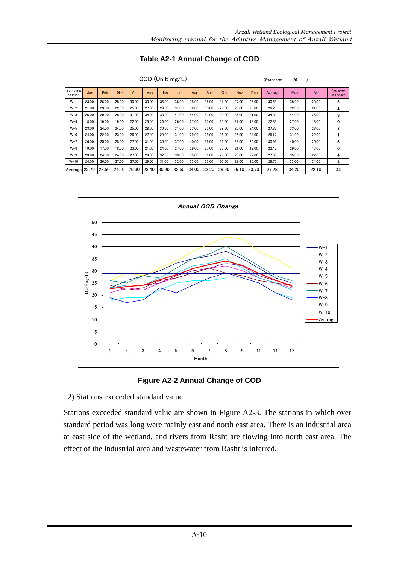| Table A2-1 Annual Change of COD |  |  |  |
|---------------------------------|--|--|--|
|---------------------------------|--|--|--|

| COD (Unit: mg/L)    |       |       |       |       |       |       |       |       |       |       |            | (Standard: | 30      |       |       |                      |
|---------------------|-------|-------|-------|-------|-------|-------|-------|-------|-------|-------|------------|------------|---------|-------|-------|----------------------|
| Sampling<br>Station | Jan   | Feb   | Mar   | Apr   | May   | Jun   | Jul   | Aug   | Sep   | Oct   | <b>Nov</b> | <b>Dec</b> | Average | Max   | Min   | No. over<br>standard |
| $W-1$               | 23.00 | 26.00 | 28.00 | 30.00 | 33.00 | 35.00 | 36.00 | 38.00 | 35.00 | 31.00 | 27.00      | 25.00      | 30.58   | 38.00 | 23.00 | 6                    |
| $W-2$               | 21.00 | 23.00 | 22.00 | 25.00 | 27.00 | 29.00 | 31.00 | 32.00 | 30.00 | 27.00 | 25.00      | 23.00      | 26.25   | 32.00 | 21.00 | $\mathbf{2}$         |
| $W-3$               | 26.00 | 29.00 | 28.00 | 31.00 | 34.00 | 38.00 | 41.00 | 44.00 | 43.00 | 38.00 | 35.00      | 31.00      | 34.83   | 44.00 | 26.00 | 9                    |
| $W-4$               | 18.00 | 19.00 | 19.00 | 22.00 | 25.00 | 26.00 | 26.00 | 27.00 | 27.00 | 25.00 | 21.00      | 19.00      | 22.83   | 27.00 | 18.00 | 0                    |
| $W-5$               | 23.00 | 24.00 | 24.00 | 25.00 | 28.00 | 30.00 | 31.00 | 33.00 | 32.00 | 28.00 | 26.00      | 24.00      | 27.33   | 33.00 | 23.00 | 3                    |
| $W-6$               | 24.00 | 22.00 | 23.00 | 26.00 | 27.00 | 29.00 | 31.00 | 29.00 | 28.00 | 26.00 | 25.00      | 24.00      | 26.17   | 31.00 | 22.00 |                      |
| $W-7$               | 26.00 | 25.00 | 28.00 | 27.00 | 31.00 | 35.00 | 37.00 | 40.00 | 36.00 | 32.00 | 28.00      | 26.00      | 30.92   | 40.00 | 25.00 | 6                    |
| $W - 8$             | 19.00 | 17.00 | 18.00 | 23.00 | 21.00 | 24.00 | 27.00 | 29.00 | 27.00 | 25.00 | 21.00      | 18.00      | 22.42   | 29.00 | 17.00 | 0                    |
| $W-9$               | 23.00 | 24.00 | 24.00 | 27.00 | 29.00 | 32.00 | 33.00 | 35.00 | 31.00 | 27.00 | 25.00      | 22.00      | 27.67   | 35.00 | 22.00 | 4                    |
| $W-10$              | 24.00 | 26.00 | 27.00 | 27.00 | 29.00 | 31.00 | 32.00 | 33.00 | 33.00 | 30.00 | 28.00      | 25.00      | 28.75   | 33.00 | 24.00 | 4                    |
| Average 22.70       |       | 23.50 | 24.10 | 26.30 | 28.40 | 30.90 | 32.50 | 34.00 | 32.20 | 28.90 | 26.10      | 23.70      | 27.78   | 34.20 | 22.10 | 3.5                  |





2) Stations exceeded standard value

Stations exceeded standard value are shown in Figure A2-3. The stations in which over standard period was long were mainly east and north east area. There is an industrial area at east side of the wetland, and rivers from Rasht are flowing into north east area. The effect of the industrial area and wastewater from Rasht is inferred.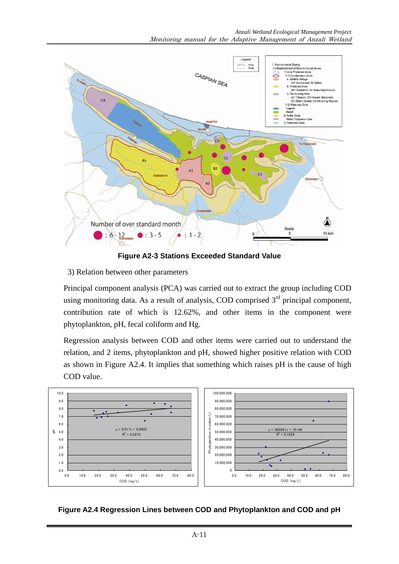

**Figure A2-3 Stations Exceeded Standard Value** 

3) Relation between other parameters

Principal component analysis (PCA) was carried out to extract the group including COD using monitoring data. As a result of analysis, COD comprised  $3<sup>rd</sup>$  principal component, contribution rate of which is 12.62%, and other items in the component were phytoplankton, pH, fecal coliform and Hg.

Regression analysis between COD and other items were carried out to understand the relation, and 2 items, phytoplankton and pH, showed higher positive relation with COD as shown in Figure A2.4. It implies that something which raises pH is the cause of high COD value.



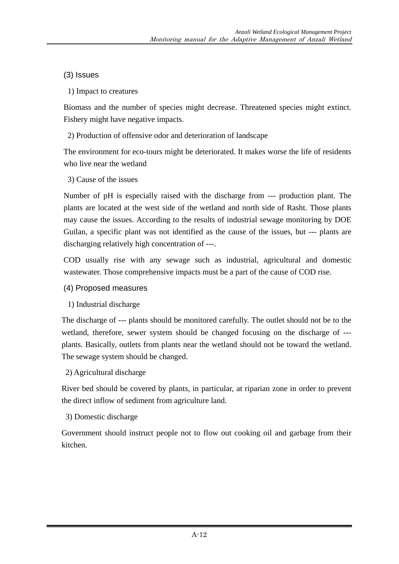# (3) Issues

1) Impact to creatures

Biomass and the number of species might decrease. Threatened species might extinct. Fishery might have negative impacts.

2) Production of offensive odor and deterioration of landscape

The environment for eco-tours might be deteriorated. It makes worse the life of residents who live near the wetland

3) Cause of the issues

Number of pH is especially raised with the discharge from --- production plant. The plants are located at the west side of the wetland and north side of Rasht. Those plants may cause the issues. According to the results of industrial sewage monitoring by DOE Guilan, a specific plant was not identified as the cause of the issues, but --- plants are discharging relatively high concentration of ---.

COD usually rise with any sewage such as industrial, agricultural and domestic wastewater. Those comprehensive impacts must be a part of the cause of COD rise.

- (4) Proposed measures
- 1) Industrial discharge

The discharge of --- plants should be monitored carefully. The outlet should not be to the wetland, therefore, sewer system should be changed focusing on the discharge of -- plants. Basically, outlets from plants near the wetland should not be toward the wetland. The sewage system should be changed.

# 2) Agricultural discharge

River bed should be covered by plants, in particular, at riparian zone in order to prevent the direct inflow of sediment from agriculture land.

# 3) Domestic discharge

Government should instruct people not to flow out cooking oil and garbage from their kitchen.